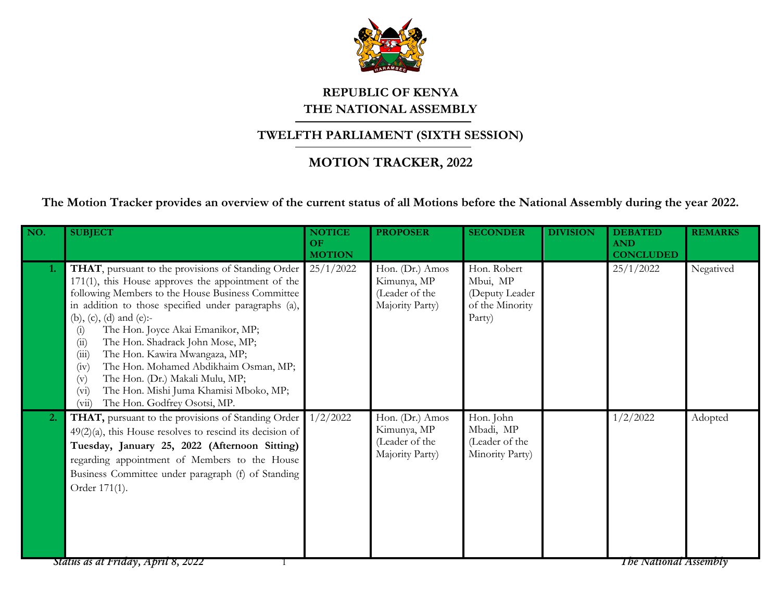

## **REPUBLIC OF KENYA THE NATIONAL ASSEMBLY**

## **TWELFTH PARLIAMENT (SIXTH SESSION)**

## **MOTION TRACKER, 2022**

**The Motion Tracker provides an overview of the current status of all Motions before the National Assembly during the year 2022.**

| NO. | <b>SUBJECT</b>                                                                                                                                                                                                                                                                                                                                                                                                                                                                                                                                                                 | <b>NOTICE</b><br>OF<br><b>MOTION</b> | <b>PROPOSER</b>                                                     | <b>SECONDER</b>                                                        | <b>DIVISION</b> | <b>DEBATED</b><br><b>AND</b><br><b>CONCLUDED</b> | <b>REMARKS</b> |
|-----|--------------------------------------------------------------------------------------------------------------------------------------------------------------------------------------------------------------------------------------------------------------------------------------------------------------------------------------------------------------------------------------------------------------------------------------------------------------------------------------------------------------------------------------------------------------------------------|--------------------------------------|---------------------------------------------------------------------|------------------------------------------------------------------------|-----------------|--------------------------------------------------|----------------|
| 1.  | THAT, pursuant to the provisions of Standing Order<br>$171(1)$ , this House approves the appointment of the<br>following Members to the House Business Committee<br>in addition to those specified under paragraphs (a),<br>(b), (c), (d) and (e):-<br>The Hon. Joyce Akai Emanikor, MP;<br>(i)<br>The Hon. Shadrack John Mose, MP;<br>(ii)<br>(iii)<br>The Hon. Kawira Mwangaza, MP;<br>The Hon. Mohamed Abdikhaim Osman, MP;<br>(iv)<br>The Hon. (Dr.) Makali Mulu, MP;<br>(v)<br>The Hon. Mishi Juma Khamisi Mboko, MP;<br>$(v_i)$<br>The Hon. Godfrey Osotsi, MP.<br>(vii) | 25/1/2022                            | Hon. (Dr.) Amos<br>Kimunya, MP<br>(Leader of the<br>Majority Party) | Hon. Robert<br>Mbui, MP<br>(Deputy Leader<br>of the Minority<br>Party) |                 | 25/1/2022                                        | Negatived      |
| 2.  | THAT, pursuant to the provisions of Standing Order<br>$49(2)(a)$ , this House resolves to rescind its decision of<br>Tuesday, January 25, 2022 (Afternoon Sitting)<br>regarding appointment of Members to the House<br>Business Committee under paragraph (f) of Standing<br>Order 171(1).<br>Status as at Friday, April 8, 2022                                                                                                                                                                                                                                               | 1/2/2022                             | Hon. (Dr.) Amos<br>Kimunya, MP<br>(Leader of the<br>Majority Party) | Hon. John<br>Mbadi, MP<br>(Leader of the<br>Minority Party)            |                 | 1/2/2022<br><b>The National Assembly</b>         | Adopted        |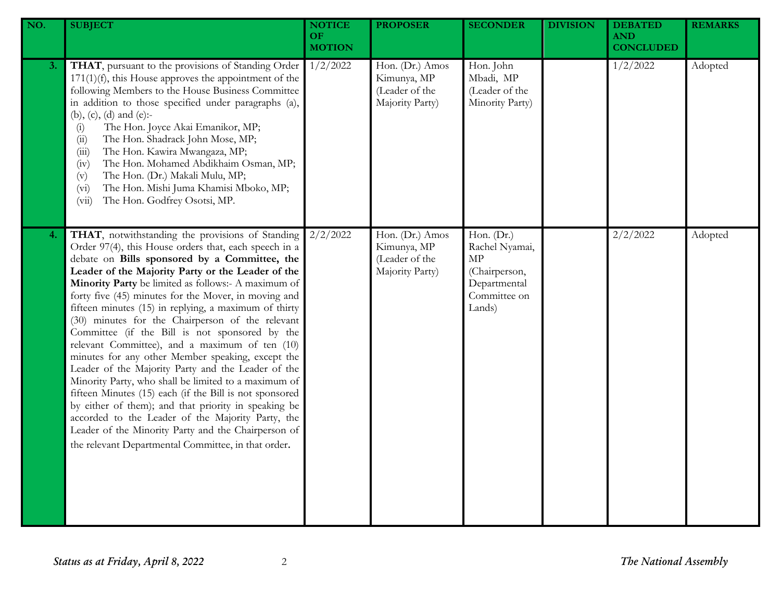| NO. | <b>SUBJECT</b>                                                                                                                                                                                                                                                                                                                                                                                                                                                                                                                                                                                                                                                                                                                                                                                                                                                                                                                                                                                           | <b>NOTICE</b><br>OF<br><b>MOTION</b> | <b>PROPOSER</b>                                                     | <b>SECONDER</b>                                                                               | <b>DIVISION</b> | <b>DEBATED</b><br><b>AND</b><br><b>CONCLUDED</b> | <b>REMARKS</b> |
|-----|----------------------------------------------------------------------------------------------------------------------------------------------------------------------------------------------------------------------------------------------------------------------------------------------------------------------------------------------------------------------------------------------------------------------------------------------------------------------------------------------------------------------------------------------------------------------------------------------------------------------------------------------------------------------------------------------------------------------------------------------------------------------------------------------------------------------------------------------------------------------------------------------------------------------------------------------------------------------------------------------------------|--------------------------------------|---------------------------------------------------------------------|-----------------------------------------------------------------------------------------------|-----------------|--------------------------------------------------|----------------|
| 3.  | THAT, pursuant to the provisions of Standing Order<br>$171(1)(f)$ , this House approves the appointment of the<br>following Members to the House Business Committee<br>in addition to those specified under paragraphs (a),<br>(b), (c), (d) and (e):-<br>The Hon. Joyce Akai Emanikor, MP;<br>(i)<br>The Hon. Shadrack John Mose, MP;<br>(ii)<br>The Hon. Kawira Mwangaza, MP;<br>(iii)<br>The Hon. Mohamed Abdikhaim Osman, MP;<br>(iv)<br>The Hon. (Dr.) Makali Mulu, MP;<br>(v)<br>The Hon. Mishi Juma Khamisi Mboko, MP;<br>(v <sub>i</sub> )<br>The Hon. Godfrey Osotsi, MP.<br>(vii)                                                                                                                                                                                                                                                                                                                                                                                                              | 1/2/2022                             | Hon. (Dr.) Amos<br>Kimunya, MP<br>(Leader of the<br>Majority Party) | Hon. John<br>Mbadi, MP<br>(Leader of the<br>Minority Party)                                   |                 | 1/2/2022                                         | Adopted        |
| 4.  | THAT, notwithstanding the provisions of Standing<br>Order 97(4), this House orders that, each speech in a<br>debate on Bills sponsored by a Committee, the<br>Leader of the Majority Party or the Leader of the<br>Minority Party be limited as follows:- A maximum of<br>forty five (45) minutes for the Mover, in moving and<br>fifteen minutes (15) in replying, a maximum of thirty<br>(30) minutes for the Chairperson of the relevant<br>Committee (if the Bill is not sponsored by the<br>relevant Committee), and a maximum of ten (10)<br>minutes for any other Member speaking, except the<br>Leader of the Majority Party and the Leader of the<br>Minority Party, who shall be limited to a maximum of<br>fifteen Minutes (15) each (if the Bill is not sponsored<br>by either of them); and that priority in speaking be<br>accorded to the Leader of the Majority Party, the<br>Leader of the Minority Party and the Chairperson of<br>the relevant Departmental Committee, in that order. | 2/2/2022                             | Hon. (Dr.) Amos<br>Kimunya, MP<br>(Leader of the<br>Majority Party) | Hon. (Dr.)<br>Rachel Nyamai,<br>MP<br>(Chairperson,<br>Departmental<br>Committee on<br>Lands) |                 | 2/2/2022                                         | Adopted        |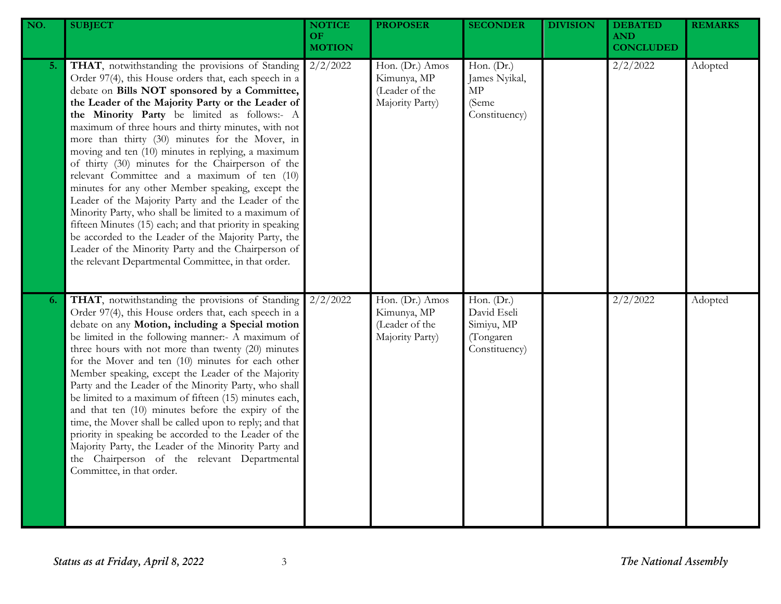| NO. | <b>SUBJECT</b>                                                                                                                                                                                                                                                                                                                                                                                                                                                                                                                                                                                                                                                                                                                                                                                                                                                                                                                            | <b>NOTICE</b><br>OF<br><b>MOTION</b> | <b>PROPOSER</b>                                                     | <b>SECONDER</b>                                                       | <b>DIVISION</b> | <b>DEBATED</b><br><b>AND</b><br><b>CONCLUDED</b> | <b>REMARKS</b> |
|-----|-------------------------------------------------------------------------------------------------------------------------------------------------------------------------------------------------------------------------------------------------------------------------------------------------------------------------------------------------------------------------------------------------------------------------------------------------------------------------------------------------------------------------------------------------------------------------------------------------------------------------------------------------------------------------------------------------------------------------------------------------------------------------------------------------------------------------------------------------------------------------------------------------------------------------------------------|--------------------------------------|---------------------------------------------------------------------|-----------------------------------------------------------------------|-----------------|--------------------------------------------------|----------------|
| 5.  | THAT, notwithstanding the provisions of Standing<br>Order 97(4), this House orders that, each speech in a<br>debate on Bills NOT sponsored by a Committee,<br>the Leader of the Majority Party or the Leader of<br>the Minority Party be limited as follows:- A<br>maximum of three hours and thirty minutes, with not<br>more than thirty (30) minutes for the Mover, in<br>moving and ten (10) minutes in replying, a maximum<br>of thirty (30) minutes for the Chairperson of the<br>relevant Committee and a maximum of ten (10)<br>minutes for any other Member speaking, except the<br>Leader of the Majority Party and the Leader of the<br>Minority Party, who shall be limited to a maximum of<br>fifteen Minutes (15) each; and that priority in speaking<br>be accorded to the Leader of the Majority Party, the<br>Leader of the Minority Party and the Chairperson of<br>the relevant Departmental Committee, in that order. | 2/2/2022                             | Hon. (Dr.) Amos<br>Kimunya, MP<br>(Leader of the<br>Majority Party) | Hon. (Dr.)<br>James Nyikal,<br>MP<br>(Seme<br>Constituency)           |                 | 2/2/2022                                         | Adopted        |
| 6.  | THAT, notwithstanding the provisions of Standing<br>Order 97(4), this House orders that, each speech in a<br>debate on any Motion, including a Special motion<br>be limited in the following manner:- A maximum of<br>three hours with not more than twenty (20) minutes<br>for the Mover and ten (10) minutes for each other<br>Member speaking, except the Leader of the Majority<br>Party and the Leader of the Minority Party, who shall<br>be limited to a maximum of fifteen (15) minutes each,<br>and that ten (10) minutes before the expiry of the<br>time, the Mover shall be called upon to reply; and that<br>priority in speaking be accorded to the Leader of the<br>Majority Party, the Leader of the Minority Party and<br>the Chairperson of the relevant Departmental<br>Committee, in that order.                                                                                                                      | 2/2/2022                             | Hon. (Dr.) Amos<br>Kimunya, MP<br>(Leader of the<br>Majority Party) | Hon. (Dr.)<br>David Eseli<br>Simiyu, MP<br>(Tongaren<br>Constituency) |                 | 2/2/2022                                         | Adopted        |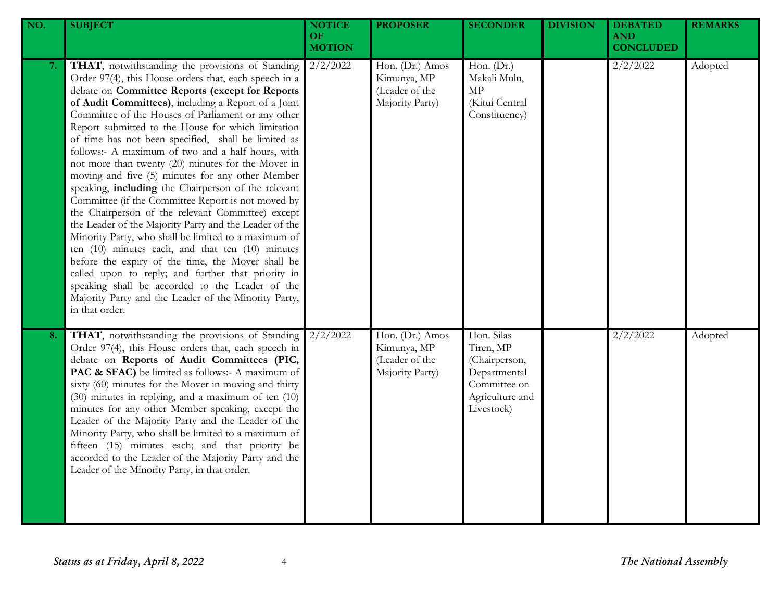| NO. | <b>SUBJECT</b>                                                                                                                                                                                                                                                                                                                                                                                                                                                                                                                                                                                                                                                                                                                                                                                                                                                                                                                                                                                                                                                                                                                            | <b>NOTICE</b><br>OF.<br><b>MOTION</b> | <b>PROPOSER</b>                                                     | <b>SECONDER</b>                                                                                           | <b>DIVISION</b> | <b>DEBATED</b><br><b>AND</b><br><b>CONCLUDED</b> | <b>REMARKS</b> |
|-----|-------------------------------------------------------------------------------------------------------------------------------------------------------------------------------------------------------------------------------------------------------------------------------------------------------------------------------------------------------------------------------------------------------------------------------------------------------------------------------------------------------------------------------------------------------------------------------------------------------------------------------------------------------------------------------------------------------------------------------------------------------------------------------------------------------------------------------------------------------------------------------------------------------------------------------------------------------------------------------------------------------------------------------------------------------------------------------------------------------------------------------------------|---------------------------------------|---------------------------------------------------------------------|-----------------------------------------------------------------------------------------------------------|-----------------|--------------------------------------------------|----------------|
| 7.  | THAT, notwithstanding the provisions of Standing<br>Order 97(4), this House orders that, each speech in a<br>debate on Committee Reports (except for Reports<br>of Audit Committees), including a Report of a Joint<br>Committee of the Houses of Parliament or any other<br>Report submitted to the House for which limitation<br>of time has not been specified, shall be limited as<br>follows:- A maximum of two and a half hours, with<br>not more than twenty (20) minutes for the Mover in<br>moving and five (5) minutes for any other Member<br>speaking, including the Chairperson of the relevant<br>Committee (if the Committee Report is not moved by<br>the Chairperson of the relevant Committee) except<br>the Leader of the Majority Party and the Leader of the<br>Minority Party, who shall be limited to a maximum of<br>ten $(10)$ minutes each, and that ten $(10)$ minutes<br>before the expiry of the time, the Mover shall be<br>called upon to reply; and further that priority in<br>speaking shall be accorded to the Leader of the<br>Majority Party and the Leader of the Minority Party,<br>in that order. | $2/2/\overline{2022}$                 | Hon. (Dr.) Amos<br>Kimunya, MP<br>(Leader of the<br>Majority Party) | Hon. (Dr.)<br>Makali Mulu,<br>$\ensuremath{\mathrm{MP}}$<br>(Kitui Central<br>Constituency)               |                 | 2/2/2022                                         | Adopted        |
| 8.  | THAT, notwithstanding the provisions of Standing<br>Order 97(4), this House orders that, each speech in<br>debate on Reports of Audit Committees (PIC,<br>PAC & SFAC) be limited as follows:- A maximum of<br>sixty (60) minutes for the Mover in moving and thirty<br>(30) minutes in replying, and a maximum of ten (10)<br>minutes for any other Member speaking, except the<br>Leader of the Majority Party and the Leader of the<br>Minority Party, who shall be limited to a maximum of<br>fifteen (15) minutes each; and that priority be<br>accorded to the Leader of the Majority Party and the<br>Leader of the Minority Party, in that order.                                                                                                                                                                                                                                                                                                                                                                                                                                                                                  | 2/2/2022                              | Hon. (Dr.) Amos<br>Kimunya, MP<br>(Leader of the<br>Majority Party) | Hon. Silas<br>Tiren, MP<br>(Chairperson,<br>Departmental<br>Committee on<br>Agriculture and<br>Livestock) |                 | 2/2/2022                                         | Adopted        |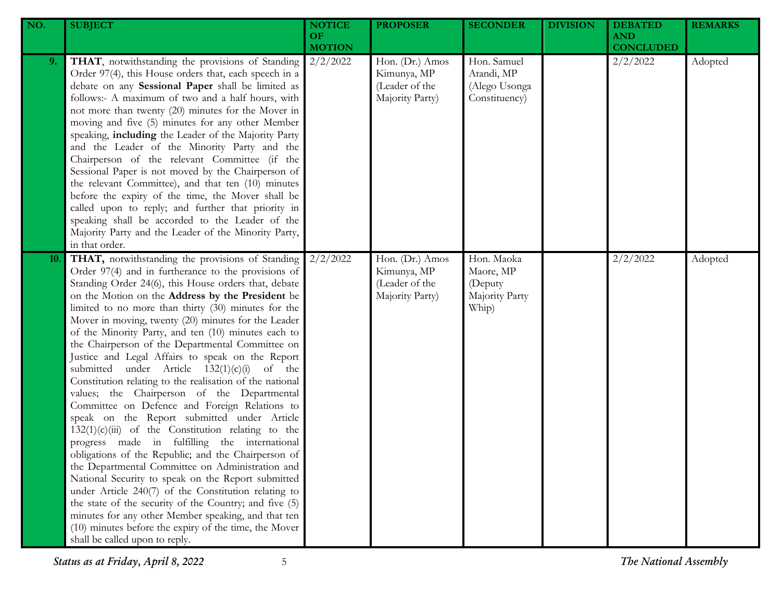| NO. | <b>SUBJECT</b>                                                                                                                                                                                                                                                                                                                                                                                                                                                                                                                                                                                                                                                                                                                                                                                                                                                                                                                                                                                                                                                                                                                                                                                                                                                                                                | <b>NOTICE</b><br><b>OF</b><br><b>MOTION</b> | <b>PROPOSER</b>                                                     | <b>SECONDER</b>                                               | <b>DIVISION</b> | <b>DEBATED</b><br><b>AND</b><br><b>CONCLUDED</b> | <b>REMARKS</b> |
|-----|---------------------------------------------------------------------------------------------------------------------------------------------------------------------------------------------------------------------------------------------------------------------------------------------------------------------------------------------------------------------------------------------------------------------------------------------------------------------------------------------------------------------------------------------------------------------------------------------------------------------------------------------------------------------------------------------------------------------------------------------------------------------------------------------------------------------------------------------------------------------------------------------------------------------------------------------------------------------------------------------------------------------------------------------------------------------------------------------------------------------------------------------------------------------------------------------------------------------------------------------------------------------------------------------------------------|---------------------------------------------|---------------------------------------------------------------------|---------------------------------------------------------------|-----------------|--------------------------------------------------|----------------|
| 9.  | THAT, notwithstanding the provisions of Standing<br>Order 97(4), this House orders that, each speech in a<br>debate on any Sessional Paper shall be limited as<br>follows:- A maximum of two and a half hours, with<br>not more than twenty (20) minutes for the Mover in<br>moving and five (5) minutes for any other Member<br>speaking, including the Leader of the Majority Party<br>and the Leader of the Minority Party and the<br>Chairperson of the relevant Committee (if the<br>Sessional Paper is not moved by the Chairperson of<br>the relevant Committee), and that ten (10) minutes<br>before the expiry of the time, the Mover shall be<br>called upon to reply; and further that priority in<br>speaking shall be accorded to the Leader of the<br>Majority Party and the Leader of the Minority Party,<br>in that order.                                                                                                                                                                                                                                                                                                                                                                                                                                                                    | 2/2/2022                                    | Hon. (Dr.) Amos<br>Kimunya, MP<br>(Leader of the<br>Majority Party) | Hon. Samuel<br>Atandi, MP<br>(Alego Usonga<br>Constituency)   |                 | 2/2/2022                                         | Adopted        |
| 10. | THAT, notwithstanding the provisions of Standing<br>Order 97(4) and in furtherance to the provisions of<br>Standing Order 24(6), this House orders that, debate<br>on the Motion on the Address by the President be<br>limited to no more than thirty (30) minutes for the<br>Mover in moving, twenty (20) minutes for the Leader<br>of the Minority Party, and ten (10) minutes each to<br>the Chairperson of the Departmental Committee on<br>Justice and Legal Affairs to speak on the Report<br>submitted under Article $132(1)(c)(i)$<br>of the<br>Constitution relating to the realisation of the national<br>values; the Chairperson of the Departmental<br>Committee on Defence and Foreign Relations to<br>speak on the Report submitted under Article<br>$132(1)(c)(iii)$ of the Constitution relating to the<br>progress made in fulfilling the international<br>obligations of the Republic; and the Chairperson of<br>the Departmental Committee on Administration and<br>National Security to speak on the Report submitted<br>under Article 240(7) of the Constitution relating to<br>the state of the security of the Country; and five (5)<br>minutes for any other Member speaking, and that ten<br>(10) minutes before the expiry of the time, the Mover<br>shall be called upon to reply. | 2/2/2022                                    | Hon. (Dr.) Amos<br>Kimunya, MP<br>(Leader of the<br>Majority Party) | Hon. Maoka<br>Maore, MP<br>(Deputy<br>Majority Party<br>Whip) |                 | 2/2/2022                                         | Adopted        |

*Status as at Friday, April 8, 2022* 5 *The National Assembly*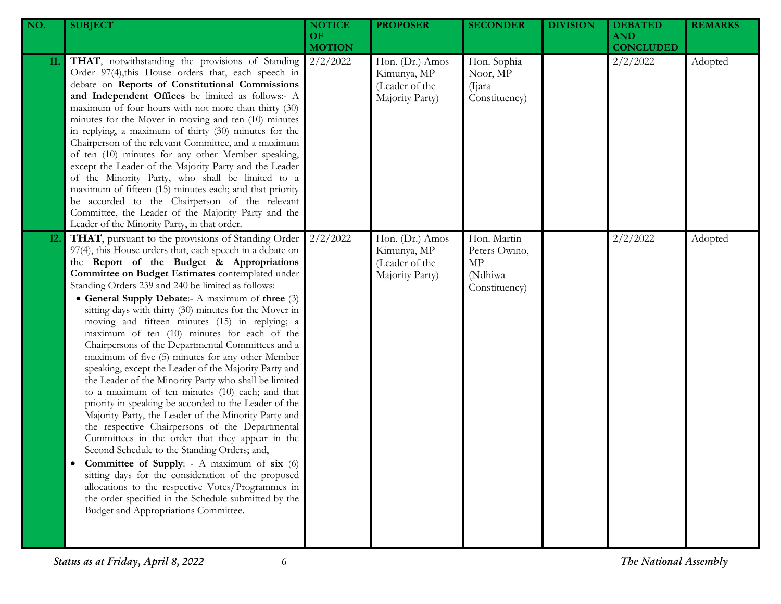| NO.        | <b>SUBJECT</b>                                                                                                                                                                                                                                                                                                                                                                                                                                                                                                                                                                                                                                                                                                                                                                                                                                                                                                                                                                                                                                                                                                                                                                                                                                                                                       | <b>NOTICE</b><br><b>OF</b><br><b>MOTION</b> | <b>PROPOSER</b>                                                     | <b>SECONDER</b>                                                | <b>DIVISION</b> | <b>DEBATED</b><br><b>AND</b><br><b>CONCLUDED</b> | <b>REMARKS</b> |
|------------|------------------------------------------------------------------------------------------------------------------------------------------------------------------------------------------------------------------------------------------------------------------------------------------------------------------------------------------------------------------------------------------------------------------------------------------------------------------------------------------------------------------------------------------------------------------------------------------------------------------------------------------------------------------------------------------------------------------------------------------------------------------------------------------------------------------------------------------------------------------------------------------------------------------------------------------------------------------------------------------------------------------------------------------------------------------------------------------------------------------------------------------------------------------------------------------------------------------------------------------------------------------------------------------------------|---------------------------------------------|---------------------------------------------------------------------|----------------------------------------------------------------|-----------------|--------------------------------------------------|----------------|
| 11.        | THAT, notwithstanding the provisions of Standing<br>Order 97(4), this House orders that, each speech in<br>debate on Reports of Constitutional Commissions<br>and Independent Offices be limited as follows:- A<br>maximum of four hours with not more than thirty (30)<br>minutes for the Mover in moving and ten (10) minutes<br>in replying, a maximum of thirty (30) minutes for the<br>Chairperson of the relevant Committee, and a maximum<br>of ten (10) minutes for any other Member speaking,<br>except the Leader of the Majority Party and the Leader<br>of the Minority Party, who shall be limited to a<br>maximum of fifteen (15) minutes each; and that priority<br>be accorded to the Chairperson of the relevant<br>Committee, the Leader of the Majority Party and the<br>Leader of the Minority Party, in that order.                                                                                                                                                                                                                                                                                                                                                                                                                                                             | 2/2/2022                                    | Hon. (Dr.) Amos<br>Kimunya, MP<br>(Leader of the<br>Majority Party) | Hon. Sophia<br>Noor, MP<br>(Ijara)<br>Constituency)            |                 | 2/2/2022                                         | Adopted        |
| <b>12.</b> | THAT, pursuant to the provisions of Standing Order<br>97(4), this House orders that, each speech in a debate on<br>the Report of the Budget & Appropriations<br>Committee on Budget Estimates contemplated under<br>Standing Orders 239 and 240 be limited as follows:<br>• General Supply Debate:- A maximum of three (3)<br>sitting days with thirty (30) minutes for the Mover in<br>moving and fifteen minutes (15) in replying; a<br>maximum of ten (10) minutes for each of the<br>Chairpersons of the Departmental Committees and a<br>maximum of five (5) minutes for any other Member<br>speaking, except the Leader of the Majority Party and<br>the Leader of the Minority Party who shall be limited<br>to a maximum of ten minutes (10) each; and that<br>priority in speaking be accorded to the Leader of the<br>Majority Party, the Leader of the Minority Party and<br>the respective Chairpersons of the Departmental<br>Committees in the order that they appear in the<br>Second Schedule to the Standing Orders; and,<br>Committee of Supply: - A maximum of six (6)<br>sitting days for the consideration of the proposed<br>allocations to the respective Votes/Programmes in<br>the order specified in the Schedule submitted by the<br>Budget and Appropriations Committee. | 2/2/2022                                    | Hon. (Dr.) Amos<br>Kimunya, MP<br>(Leader of the<br>Majority Party) | Hon. Martin<br>Peters Owino,<br>МP<br>(Ndhiwa<br>Constituency) |                 | 2/2/2022                                         | Adopted        |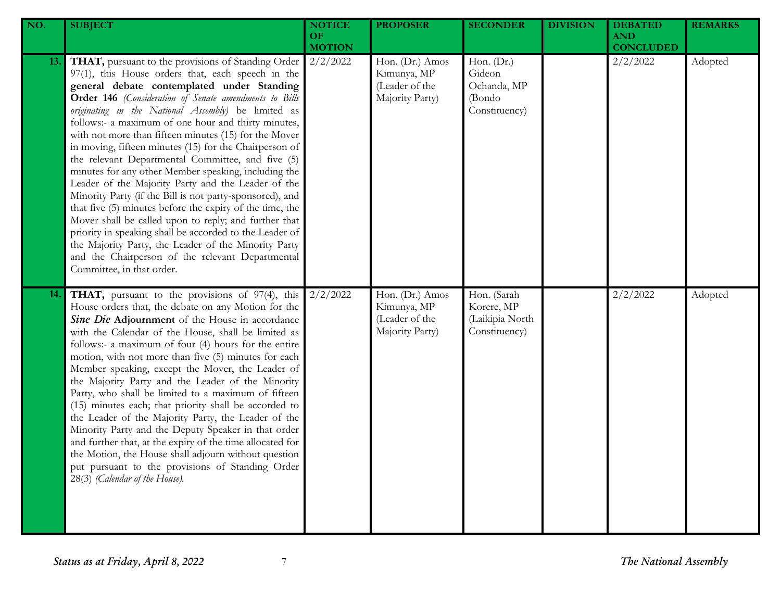| NO. | <b>SUBJECT</b>                                                                                                                                                                                                                                                                                                                                                                                                                                                                                                                                                                                                                                                                                                                                                                                                                                                                                                                                                                                           | <b>NOTICE</b><br><b>OF</b><br><b>MOTION</b> | <b>PROPOSER</b>                                                     | <b>SECONDER</b>                                                  | <b>DIVISION</b> | <b>DEBATED</b><br><b>AND</b><br><b>CONCLUDED</b> | <b>REMARKS</b> |
|-----|----------------------------------------------------------------------------------------------------------------------------------------------------------------------------------------------------------------------------------------------------------------------------------------------------------------------------------------------------------------------------------------------------------------------------------------------------------------------------------------------------------------------------------------------------------------------------------------------------------------------------------------------------------------------------------------------------------------------------------------------------------------------------------------------------------------------------------------------------------------------------------------------------------------------------------------------------------------------------------------------------------|---------------------------------------------|---------------------------------------------------------------------|------------------------------------------------------------------|-----------------|--------------------------------------------------|----------------|
| 13. | THAT, pursuant to the provisions of Standing Order<br>97(1), this House orders that, each speech in the<br>general debate contemplated under Standing<br>Order 146 (Consideration of Senate amendments to Bills<br>originating in the National Assembly) be limited as<br>follows:- a maximum of one hour and thirty minutes,<br>with not more than fifteen minutes (15) for the Mover<br>in moving, fifteen minutes (15) for the Chairperson of<br>the relevant Departmental Committee, and five (5)<br>minutes for any other Member speaking, including the<br>Leader of the Majority Party and the Leader of the<br>Minority Party (if the Bill is not party-sponsored), and<br>that five (5) minutes before the expiry of the time, the<br>Mover shall be called upon to reply; and further that<br>priority in speaking shall be accorded to the Leader of<br>the Majority Party, the Leader of the Minority Party<br>and the Chairperson of the relevant Departmental<br>Committee, in that order. | 2/2/2022                                    | Hon. (Dr.) Amos<br>Kimunya, MP<br>(Leader of the<br>Majority Party) | Hon. $(Dr.)$<br>Gideon<br>Ochanda, MP<br>(Bondo<br>Constituency) |                 | 2/2/2022                                         | Adopted        |
| 14. | THAT, pursuant to the provisions of 97(4), this<br>House orders that, the debate on any Motion for the<br>Sine Die Adjournment of the House in accordance<br>with the Calendar of the House, shall be limited as<br>follows:- a maximum of four (4) hours for the entire<br>motion, with not more than five (5) minutes for each<br>Member speaking, except the Mover, the Leader of<br>the Majority Party and the Leader of the Minority<br>Party, who shall be limited to a maximum of fifteen<br>(15) minutes each; that priority shall be accorded to<br>the Leader of the Majority Party, the Leader of the<br>Minority Party and the Deputy Speaker in that order<br>and further that, at the expiry of the time allocated for<br>the Motion, the House shall adjourn without question<br>put pursuant to the provisions of Standing Order<br>28(3) (Calendar of the House).                                                                                                                       | 2/2/2022                                    | Hon. (Dr.) Amos<br>Kimunya, MP<br>(Leader of the<br>Majority Party) | Hon. (Sarah<br>Korere, MP<br>(Laikipia North<br>Constituency)    |                 | 2/2/2022                                         | Adopted        |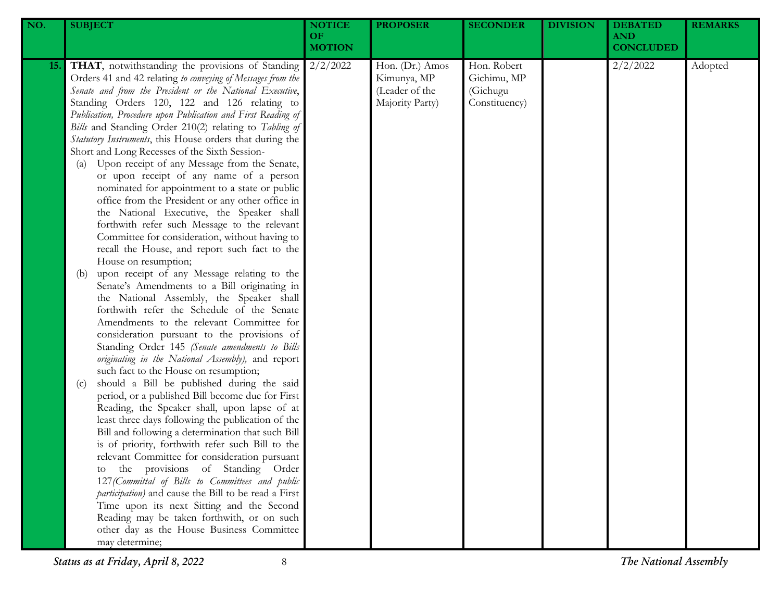| NO.        | <b>SUBJECT</b>                                                                                                                                                                                                                                                                                                                                                                                                                                                                                                                                                                                                                                                                                                                                                                                                                                                                                                                                                                                                                                                                                                                                                                                                                                                                                                                                                                                                                                                                                                                                                                                                                                                                                                                                                                                                                                                                                                                                                                                                                     | <b>NOTICE</b><br>OF<br><b>MOTION</b> | <b>PROPOSER</b>                                                     | <b>SECONDER</b>                                         | <b>DIVISION</b> | <b>DEBATED</b><br><b>AND</b><br><b>CONCLUDED</b> | <b>REMARKS</b> |
|------------|------------------------------------------------------------------------------------------------------------------------------------------------------------------------------------------------------------------------------------------------------------------------------------------------------------------------------------------------------------------------------------------------------------------------------------------------------------------------------------------------------------------------------------------------------------------------------------------------------------------------------------------------------------------------------------------------------------------------------------------------------------------------------------------------------------------------------------------------------------------------------------------------------------------------------------------------------------------------------------------------------------------------------------------------------------------------------------------------------------------------------------------------------------------------------------------------------------------------------------------------------------------------------------------------------------------------------------------------------------------------------------------------------------------------------------------------------------------------------------------------------------------------------------------------------------------------------------------------------------------------------------------------------------------------------------------------------------------------------------------------------------------------------------------------------------------------------------------------------------------------------------------------------------------------------------------------------------------------------------------------------------------------------------|--------------------------------------|---------------------------------------------------------------------|---------------------------------------------------------|-----------------|--------------------------------------------------|----------------|
| <b>15.</b> | THAT, notwithstanding the provisions of Standing<br>Orders 41 and 42 relating to conveying of Messages from the<br>Senate and from the President or the National Executive,<br>Standing Orders 120, 122 and 126 relating to<br>Publication, Procedure upon Publication and First Reading of<br>Bills and Standing Order 210(2) relating to Tabling of<br>Statutory Instruments, this House orders that during the<br>Short and Long Recesses of the Sixth Session-<br>Upon receipt of any Message from the Senate,<br>(a)<br>or upon receipt of any name of a person<br>nominated for appointment to a state or public<br>office from the President or any other office in<br>the National Executive, the Speaker shall<br>forthwith refer such Message to the relevant<br>Committee for consideration, without having to<br>recall the House, and report such fact to the<br>House on resumption;<br>upon receipt of any Message relating to the<br>(b)<br>Senate's Amendments to a Bill originating in<br>the National Assembly, the Speaker shall<br>forthwith refer the Schedule of the Senate<br>Amendments to the relevant Committee for<br>consideration pursuant to the provisions of<br>Standing Order 145 (Senate amendments to Bills<br>originating in the National Assembly), and report<br>such fact to the House on resumption;<br>should a Bill be published during the said<br>(c)<br>period, or a published Bill become due for First<br>Reading, the Speaker shall, upon lapse of at<br>least three days following the publication of the<br>Bill and following a determination that such Bill<br>is of priority, forthwith refer such Bill to the<br>relevant Committee for consideration pursuant<br>to the provisions of Standing Order<br>127 (Committal of Bills to Committees and public<br>participation) and cause the Bill to be read a First<br>Time upon its next Sitting and the Second<br>Reading may be taken forthwith, or on such<br>other day as the House Business Committee<br>may determine; | 2/2/2022                             | Hon. (Dr.) Amos<br>Kimunya, MP<br>(Leader of the<br>Majority Party) | Hon. Robert<br>Gichimu, MP<br>(Gichugu<br>Constituency) |                 | 2/2/2022                                         | Adopted        |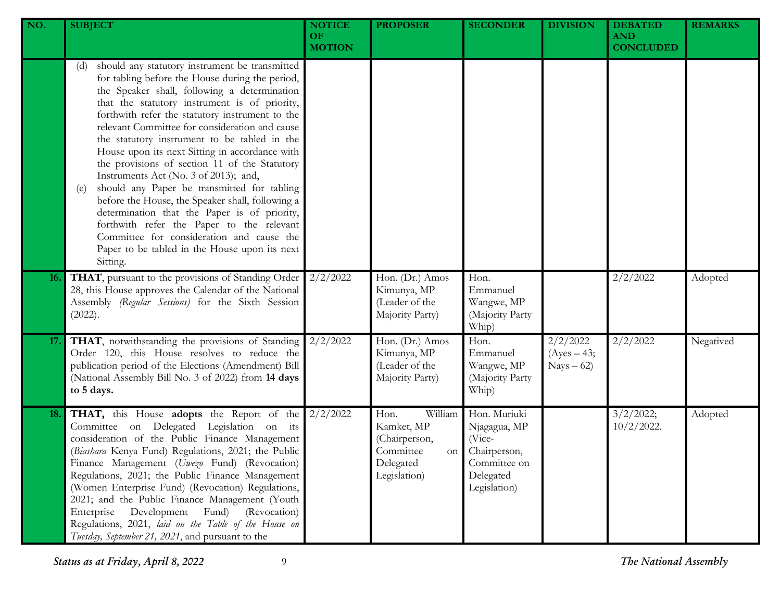| NO. | <b>SUBJECT</b>                                                                                                                                                                                                                                                                                                                                                                                                                                                                                                                                                                                                                                                                                                                                                                                                              | <b>NOTICE</b><br><b>OF</b><br><b>MOTION</b> | <b>PROPOSER</b>                                                                                | <b>SECONDER</b>                                                                                     | <b>DIVISION</b>                          | <b>DEBATED</b><br><b>AND</b><br><b>CONCLUDED</b> | <b>REMARKS</b> |
|-----|-----------------------------------------------------------------------------------------------------------------------------------------------------------------------------------------------------------------------------------------------------------------------------------------------------------------------------------------------------------------------------------------------------------------------------------------------------------------------------------------------------------------------------------------------------------------------------------------------------------------------------------------------------------------------------------------------------------------------------------------------------------------------------------------------------------------------------|---------------------------------------------|------------------------------------------------------------------------------------------------|-----------------------------------------------------------------------------------------------------|------------------------------------------|--------------------------------------------------|----------------|
|     | should any statutory instrument be transmitted<br>(d)<br>for tabling before the House during the period,<br>the Speaker shall, following a determination<br>that the statutory instrument is of priority,<br>forthwith refer the statutory instrument to the<br>relevant Committee for consideration and cause<br>the statutory instrument to be tabled in the<br>House upon its next Sitting in accordance with<br>the provisions of section 11 of the Statutory<br>Instruments Act (No. 3 of 2013); and,<br>should any Paper be transmitted for tabling<br>(e)<br>before the House, the Speaker shall, following a<br>determination that the Paper is of priority,<br>forthwith refer the Paper to the relevant<br>Committee for consideration and cause the<br>Paper to be tabled in the House upon its next<br>Sitting. |                                             |                                                                                                |                                                                                                     |                                          |                                                  |                |
| 16. | THAT, pursuant to the provisions of Standing Order<br>28, this House approves the Calendar of the National<br>Assembly (Regular Sessions) for the Sixth Session<br>(2022).                                                                                                                                                                                                                                                                                                                                                                                                                                                                                                                                                                                                                                                  | 2/2/2022                                    | Hon. (Dr.) Amos<br>Kimunya, MP<br>(Leader of the<br>Majority Party)                            | Hon.<br>Emmanuel<br>Wangwe, MP<br>(Majority Party<br>Whip)                                          |                                          | 2/2/2022                                         | Adopted        |
| 17. | THAT, notwithstanding the provisions of Standing<br>Order 120, this House resolves to reduce the<br>publication period of the Elections (Amendment) Bill<br>(National Assembly Bill No. 3 of 2022) from 14 days<br>to 5 days.                                                                                                                                                                                                                                                                                                                                                                                                                                                                                                                                                                                               | 2/2/2022                                    | Hon. (Dr.) Amos<br>Kimunya, MP<br>(Leader of the<br>Majority Party)                            | Hon.<br>Emmanuel<br>Wangwe, MP<br>(Majority Party<br>Whip)                                          | 2/2/2022<br>$(Ayes - 43;$<br>$Nays - 62$ | 2/2/2022                                         | Negatived      |
| 18. | THAT, this House adopts the Report of the<br>Committee on Delegated Legislation on its<br>consideration of the Public Finance Management<br>(Biashara Kenya Fund) Regulations, 2021; the Public<br>Finance Management (Uwezo Fund) (Revocation)<br>Regulations, 2021; the Public Finance Management<br>(Women Enterprise Fund) (Revocation) Regulations,<br>2021; and the Public Finance Management (Youth<br>Development<br>(Revocation)<br>Enterprise<br>Fund)<br>Regulations, 2021, laid on the Table of the House on<br>Tuesday, September 21, 2021, and pursuant to the                                                                                                                                                                                                                                                | 2/2/2022                                    | William<br>Hon.<br>Kamket, MP<br>(Chairperson,<br>Committee<br>on<br>Delegated<br>Legislation) | Hon. Muriuki<br>Njagagua, MP<br>(Vice-<br>Chairperson,<br>Committee on<br>Delegated<br>Legislation) |                                          | 3/2/2022;<br>$10/2/2022$ .                       | Adopted        |

*Status as at Friday, April 8, 2022* 9 *The National Assembly*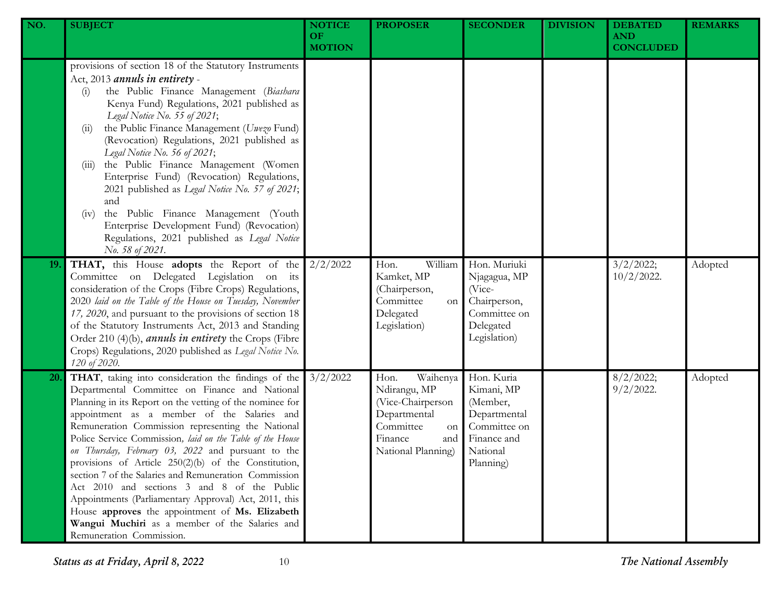| NO. | <b>SUBJECT</b>                                                                                                                                                                                                                                                                                                                                                                                                                                                                                                                                                                                                                                                                                                                                     | <b>NOTICE</b><br>OF.<br><b>MOTION</b> | <b>PROPOSER</b>                                                                                                                  | <b>SECONDER</b>                                                                                              | <b>DIVISION</b> | <b>DEBATED</b><br><b>AND</b><br><b>CONCLUDED</b> | <b>REMARKS</b> |
|-----|----------------------------------------------------------------------------------------------------------------------------------------------------------------------------------------------------------------------------------------------------------------------------------------------------------------------------------------------------------------------------------------------------------------------------------------------------------------------------------------------------------------------------------------------------------------------------------------------------------------------------------------------------------------------------------------------------------------------------------------------------|---------------------------------------|----------------------------------------------------------------------------------------------------------------------------------|--------------------------------------------------------------------------------------------------------------|-----------------|--------------------------------------------------|----------------|
|     | provisions of section 18 of the Statutory Instruments<br>Act, 2013 annuls in entirety -<br>the Public Finance Management (Biashara<br>(i)<br>Kenya Fund) Regulations, 2021 published as<br>Legal Notice No. 55 of 2021;<br>the Public Finance Management (Uwezo Fund)<br>(11)<br>(Revocation) Regulations, 2021 published as<br>Legal Notice No. 56 of 2021;<br>the Public Finance Management (Women<br>(111)<br>Enterprise Fund) (Revocation) Regulations,<br>2021 published as Legal Notice No. 57 of 2021;<br>and<br>the Public Finance Management (Youth<br>(iv)<br>Enterprise Development Fund) (Revocation)<br>Regulations, 2021 published as Legal Notice<br>No. 58 of 2021.                                                                |                                       |                                                                                                                                  |                                                                                                              |                 |                                                  |                |
| 19. | THAT, this House adopts the Report of the<br>Committee on Delegated Legislation on its<br>consideration of the Crops (Fibre Crops) Regulations,<br>2020 laid on the Table of the House on Tuesday, November<br>17, 2020, and pursuant to the provisions of section 18<br>of the Statutory Instruments Act, 2013 and Standing<br>Order 210 (4)(b), <i>annuls in entirety</i> the Crops (Fibre<br>Crops) Regulations, 2020 published as Legal Notice No.<br>120 of 2020.                                                                                                                                                                                                                                                                             | 2/2/2022                              | William<br>Hon.<br>Kamket, MP<br>(Chairperson,<br>Committee<br>on<br>Delegated<br>Legislation)                                   | Hon. Muriuki<br>Njagagua, MP<br>(Vice-<br>Chairperson,<br>Committee on<br>Delegated<br>Legislation)          |                 | 3/2/2022;<br>$10/2/2022$ .                       | Adopted        |
| 20. | THAT, taking into consideration the findings of the<br>Departmental Committee on Finance and National<br>Planning in its Report on the vetting of the nominee for<br>appointment as a member of the Salaries and<br>Remuneration Commission representing the National<br>Police Service Commission, laid on the Table of the House<br>on Thursday, February 03, 2022 and pursuant to the<br>provisions of Article 250(2)(b) of the Constitution,<br>section 7 of the Salaries and Remuneration Commission<br>Act 2010 and sections 3 and 8 of the Public<br>Appointments (Parliamentary Approval) Act, 2011, this<br>House approves the appointment of Ms. Elizabeth<br>Wangui Muchiri as a member of the Salaries and<br>Remuneration Commission. | 3/2/2022                              | Waihenya<br>Hon.<br>Ndirangu, MP<br>(Vice-Chairperson<br>Departmental<br>Committee<br>on<br>Finance<br>and<br>National Planning) | Hon. Kuria<br>Kimani, MP<br>(Member,<br>Departmental<br>Committee on<br>Finance and<br>National<br>Planning) |                 | 8/2/2022;<br>$9/2/2022$ .                        | Adopted        |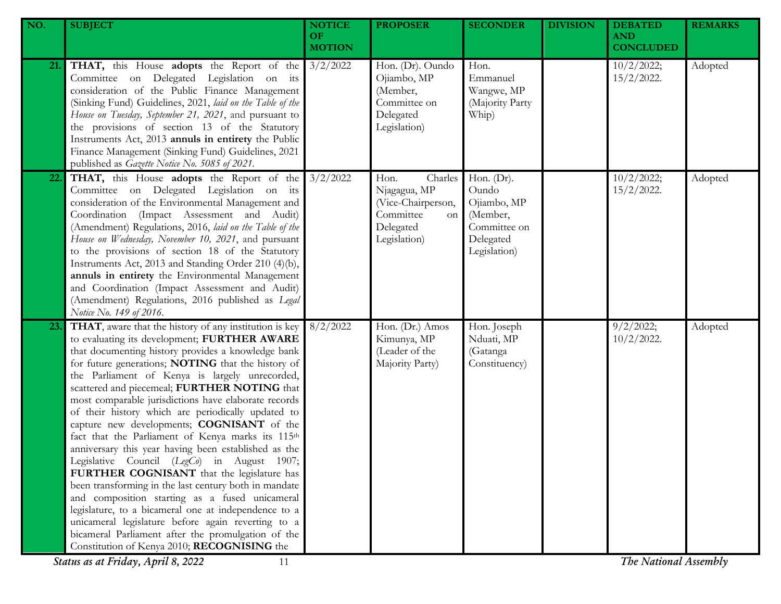| NO. | <b>SUBJECT</b>                                                                                                                                                                                                                                                                                                                                                                                                                                                                                                                                                                                                                                                                                                                                                                                                                                                                                                                                                                                                           | <b>NOTICE</b><br>OF. | <b>PROPOSER</b>                                                                                              | <b>SECONDER</b>                                                                                | <b>DIVISION</b> | <b>DEBATED</b><br><b>AND</b> | <b>REMARKS</b> |
|-----|--------------------------------------------------------------------------------------------------------------------------------------------------------------------------------------------------------------------------------------------------------------------------------------------------------------------------------------------------------------------------------------------------------------------------------------------------------------------------------------------------------------------------------------------------------------------------------------------------------------------------------------------------------------------------------------------------------------------------------------------------------------------------------------------------------------------------------------------------------------------------------------------------------------------------------------------------------------------------------------------------------------------------|----------------------|--------------------------------------------------------------------------------------------------------------|------------------------------------------------------------------------------------------------|-----------------|------------------------------|----------------|
|     |                                                                                                                                                                                                                                                                                                                                                                                                                                                                                                                                                                                                                                                                                                                                                                                                                                                                                                                                                                                                                          | <b>MOTION</b>        |                                                                                                              |                                                                                                |                 | <b>CONCLUDED</b>             |                |
| 21. | <b>THAT,</b> this House <b>adopts</b> the Report of the 3/2/2022<br>Committee on Delegated Legislation on its<br>consideration of the Public Finance Management<br>(Sinking Fund) Guidelines, 2021, laid on the Table of the<br>House on Tuesday, September 21, 2021, and pursuant to<br>the provisions of section 13 of the Statutory<br>Instruments Act, 2013 annuls in entirety the Public<br>Finance Management (Sinking Fund) Guidelines, 2021<br>published as Gazette Notice No. 5085 of 2021.                                                                                                                                                                                                                                                                                                                                                                                                                                                                                                                     |                      | Hon. (Dr). Oundo<br>Ojiambo, MP<br>(Member,<br>Committee on<br>Delegated<br>Legislation)                     | Hon.<br>Emmanuel<br>Wangwe, MP<br>(Majority Party<br>Whip)                                     |                 | 10/2/2022;<br>$15/2/2022$ .  | Adopted        |
| 22. | <b>THAT,</b> this House <b>adopts</b> the Report of the 3/2/2022<br>Committee on Delegated Legislation on its<br>consideration of the Environmental Management and<br>Coordination (Impact Assessment and Audit)<br>(Amendment) Regulations, 2016, laid on the Table of the<br>House on Wednesday, November 10, 2021, and pursuant<br>to the provisions of section 18 of the Statutory<br>Instruments Act, 2013 and Standing Order 210 (4)(b),<br>annuls in entirety the Environmental Management<br>and Coordination (Impact Assessment and Audit)<br>(Amendment) Regulations, 2016 published as Legal<br>Notice No. 149 of 2016.                                                                                                                                                                                                                                                                                                                                                                                       |                      | Charles<br>Hon.<br>Njagagua, MP<br>(Vice-Chairperson,<br>Committee<br><b>on</b><br>Delegated<br>Legislation) | Hon. $(Dr)$ .<br>Oundo<br>Ojiambo, MP<br>(Member,<br>Committee on<br>Delegated<br>Legislation) |                 | 10/2/2022;<br>$15/2/2022$ .  | Adopted        |
| 23. | THAT, aware that the history of any institution is key<br>to evaluating its development; FURTHER AWARE<br>that documenting history provides a knowledge bank<br>for future generations; NOTING that the history of<br>the Parliament of Kenya is largely unrecorded,<br>scattered and piecemeal; FURTHER NOTING that<br>most comparable jurisdictions have elaborate records<br>of their history which are periodically updated to<br>capture new developments; COGNISANT of the<br>fact that the Parliament of Kenya marks its 115th<br>anniversary this year having been established as the<br>Legislative Council (LegCo) in August 1907;<br>FURTHER COGNISANT that the legislature has<br>been transforming in the last century both in mandate<br>and composition starting as a fused unicameral<br>legislature, to a bicameral one at independence to a<br>unicameral legislature before again reverting to a<br>bicameral Parliament after the promulgation of the<br>Constitution of Kenya 2010; RECOGNISING the | 8/2/2022             | Hon. (Dr.) Amos<br>Kimunya, MP<br>(Leader of the<br>Majority Party)                                          | Hon. Joseph<br>Nduati, MP<br>(Gatanga<br>Constituency)                                         |                 | 9/2/2022;<br>$10/2/2022$ .   | Adopted        |
|     | Status as at Friday, April 8, 2022<br>11                                                                                                                                                                                                                                                                                                                                                                                                                                                                                                                                                                                                                                                                                                                                                                                                                                                                                                                                                                                 |                      |                                                                                                              |                                                                                                |                 | The National Assembly        |                |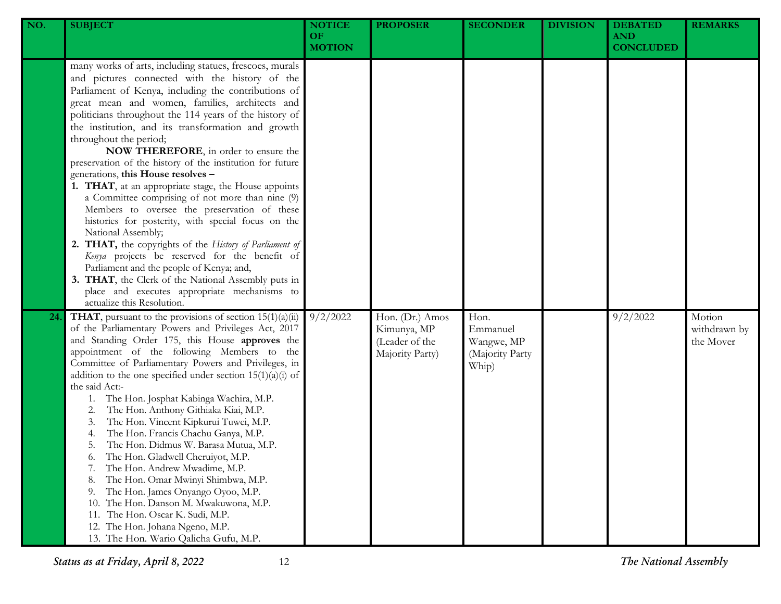| NO. | <b>SUBJECT</b>                                                                                                                                                                                                                                                                                                                                                                                                                                                                                                                                                                                                                                                                                                                                                                                                                                                                                                                                                                                                                                | <b>NOTICE</b><br>OF.<br><b>MOTION</b> | <b>PROPOSER</b>                                                     | <b>SECONDER</b>                                            | <b>DIVISION</b> | <b>DEBATED</b><br><b>AND</b><br><b>CONCLUDED</b> | <b>REMARKS</b>                      |
|-----|-----------------------------------------------------------------------------------------------------------------------------------------------------------------------------------------------------------------------------------------------------------------------------------------------------------------------------------------------------------------------------------------------------------------------------------------------------------------------------------------------------------------------------------------------------------------------------------------------------------------------------------------------------------------------------------------------------------------------------------------------------------------------------------------------------------------------------------------------------------------------------------------------------------------------------------------------------------------------------------------------------------------------------------------------|---------------------------------------|---------------------------------------------------------------------|------------------------------------------------------------|-----------------|--------------------------------------------------|-------------------------------------|
|     | many works of arts, including statues, frescoes, murals<br>and pictures connected with the history of the<br>Parliament of Kenya, including the contributions of<br>great mean and women, families, architects and<br>politicians throughout the 114 years of the history of<br>the institution, and its transformation and growth<br>throughout the period;<br>NOW THEREFORE, in order to ensure the<br>preservation of the history of the institution for future<br>generations, this House resolves -<br>1. THAT, at an appropriate stage, the House appoints<br>a Committee comprising of not more than nine (9)<br>Members to oversee the preservation of these<br>histories for posterity, with special focus on the<br>National Assembly;<br>2. THAT, the copyrights of the History of Parliament of<br>Kenya projects be reserved for the benefit of<br>Parliament and the people of Kenya; and,<br>3. THAT, the Clerk of the National Assembly puts in<br>place and executes appropriate mechanisms to<br>actualize this Resolution. |                                       |                                                                     |                                                            |                 |                                                  |                                     |
| 24  | <b>THAT</b> , pursuant to the provisions of section $15(1)(a)(ii)$<br>of the Parliamentary Powers and Privileges Act, 2017<br>and Standing Order 175, this House approves the<br>appointment of the following Members to the<br>Committee of Parliamentary Powers and Privileges, in<br>addition to the one specified under section $15(1)(a)(i)$ of<br>the said Act:-<br>The Hon. Josphat Kabinga Wachira, M.P.<br>1.<br>The Hon. Anthony Githiaka Kiai, M.P.<br>2.<br>The Hon. Vincent Kipkurui Tuwei, M.P.<br>3.<br>The Hon. Francis Chachu Ganya, M.P.<br>4.<br>The Hon. Didmus W. Barasa Mutua, M.P.<br>5.<br>The Hon. Gladwell Cheruiyot, M.P.<br>6.<br>The Hon. Andrew Mwadime, M.P.<br>7.<br>The Hon. Omar Mwinyi Shimbwa, M.P.<br>8.<br>The Hon. James Onyango Oyoo, M.P.<br>9.<br>The Hon. Danson M. Mwakuwona, M.P.<br>10.<br>The Hon. Oscar K. Sudi, M.P.<br>11.<br>12. The Hon. Johana Ngeno, M.P.<br>13. The Hon. Wario Qalicha Gufu, M.P.                                                                                      | 9/2/2022                              | Hon. (Dr.) Amos<br>Kimunya, MP<br>(Leader of the<br>Majority Party) | Hon.<br>Emmanuel<br>Wangwe, MP<br>(Majority Party<br>Whip) |                 | 9/2/2022                                         | Motion<br>withdrawn by<br>the Mover |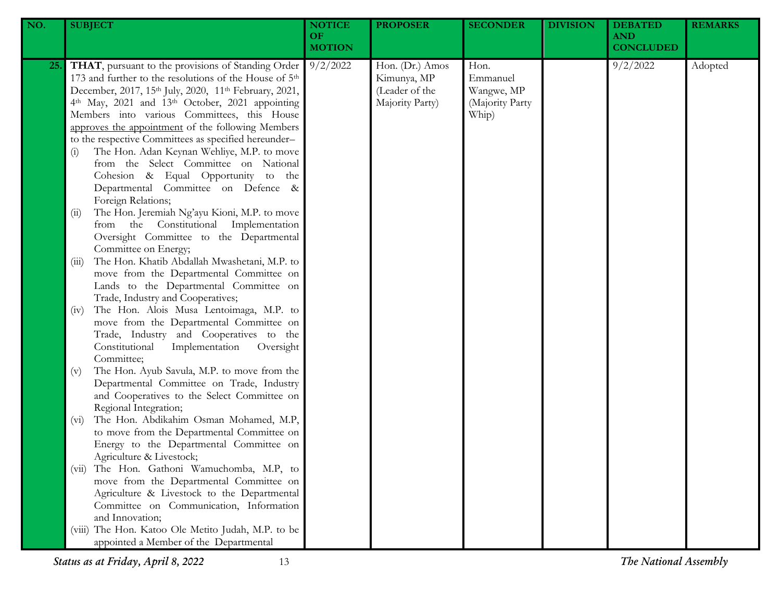| NO. | <b>SUBJECT</b>                                                                                                                                                                                                                                                                                                                                                                                                                                                                                                                                                                                                                                            | <b>NOTICE</b><br>OF<br><b>MOTION</b> | <b>PROPOSER</b>                                                     | <b>SECONDER</b>                                            | <b>DIVISION</b> | <b>DEBATED</b><br><b>AND</b><br><b>CONCLUDED</b> | <b>REMARKS</b> |
|-----|-----------------------------------------------------------------------------------------------------------------------------------------------------------------------------------------------------------------------------------------------------------------------------------------------------------------------------------------------------------------------------------------------------------------------------------------------------------------------------------------------------------------------------------------------------------------------------------------------------------------------------------------------------------|--------------------------------------|---------------------------------------------------------------------|------------------------------------------------------------|-----------------|--------------------------------------------------|----------------|
| 25. | THAT, pursuant to the provisions of Standing Order<br>173 and further to the resolutions of the House of 5 <sup>th</sup><br>December, 2017, 15th July, 2020, 11th February, 2021,<br>4th May, 2021 and 13th October, 2021 appointing<br>Members into various Committees, this House<br>approves the appointment of the following Members<br>to the respective Committees as specified hereunder-<br>The Hon. Adan Keynan Wehliye, M.P. to move<br>(i)<br>from the Select Committee on National<br>Cohesion & Equal Opportunity to the<br>Departmental Committee on Defence &<br>Foreign Relations;<br>The Hon. Jeremiah Ng'ayu Kioni, M.P. to move<br>(i) | 9/2/2022                             | Hon. (Dr.) Amos<br>Kimunya, MP<br>(Leader of the<br>Majority Party) | Hon.<br>Emmanuel<br>Wangwe, MP<br>(Majority Party<br>Whip) |                 | 9/2/2022                                         | Adopted        |
|     | from the Constitutional Implementation<br>Oversight Committee to the Departmental<br>Committee on Energy;<br>The Hon. Khatib Abdallah Mwashetani, M.P. to<br>(iii)<br>move from the Departmental Committee on<br>Lands to the Departmental Committee on<br>Trade, Industry and Cooperatives;                                                                                                                                                                                                                                                                                                                                                              |                                      |                                                                     |                                                            |                 |                                                  |                |
|     | The Hon. Alois Musa Lentoimaga, M.P. to<br>(iv)<br>move from the Departmental Committee on<br>Trade, Industry and Cooperatives to the<br>Constitutional<br>Implementation<br>Oversight<br>Committee;                                                                                                                                                                                                                                                                                                                                                                                                                                                      |                                      |                                                                     |                                                            |                 |                                                  |                |
|     | The Hon. Ayub Savula, M.P. to move from the<br>(v)<br>Departmental Committee on Trade, Industry<br>and Cooperatives to the Select Committee on<br>Regional Integration;<br>The Hon. Abdikahim Osman Mohamed, M.P,<br>$(v_i)$<br>to move from the Departmental Committee on                                                                                                                                                                                                                                                                                                                                                                                |                                      |                                                                     |                                                            |                 |                                                  |                |
|     | Energy to the Departmental Committee on<br>Agriculture & Livestock;<br>The Hon. Gathoni Wamuchomba, M.P, to<br>(V11)<br>move from the Departmental Committee on<br>Agriculture & Livestock to the Departmental                                                                                                                                                                                                                                                                                                                                                                                                                                            |                                      |                                                                     |                                                            |                 |                                                  |                |
|     | Committee on Communication, Information<br>and Innovation;<br>(viii) The Hon. Katoo Ole Metito Judah, M.P. to be<br>appointed a Member of the Departmental                                                                                                                                                                                                                                                                                                                                                                                                                                                                                                |                                      |                                                                     |                                                            |                 |                                                  |                |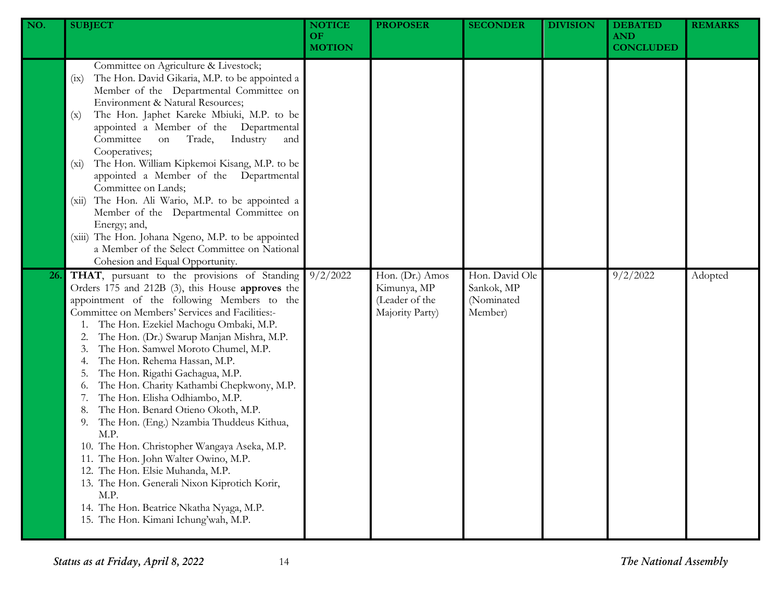| NO. | <b>SUBJECT</b>                                                                                                                                                                                                                                                                                                                                                                                                                                                                                                                                                                                                                                                                                                                                                                                                                                                  | <b>NOTICE</b><br><b>OF</b><br><b>MOTION</b> | <b>PROPOSER</b>                                                     | <b>SECONDER</b>                                       | <b>DIVISION</b> | <b>DEBATED</b><br><b>AND</b><br><b>CONCLUDED</b> | <b>REMARKS</b> |
|-----|-----------------------------------------------------------------------------------------------------------------------------------------------------------------------------------------------------------------------------------------------------------------------------------------------------------------------------------------------------------------------------------------------------------------------------------------------------------------------------------------------------------------------------------------------------------------------------------------------------------------------------------------------------------------------------------------------------------------------------------------------------------------------------------------------------------------------------------------------------------------|---------------------------------------------|---------------------------------------------------------------------|-------------------------------------------------------|-----------------|--------------------------------------------------|----------------|
|     | Committee on Agriculture & Livestock;<br>The Hon. David Gikaria, M.P. to be appointed a<br>(ix)<br>Member of the Departmental Committee on<br>Environment & Natural Resources;<br>The Hon. Japhet Kareke Mbiuki, M.P. to be<br>(x)<br>appointed a Member of the Departmental<br>Committee<br>Industry<br>Trade,<br>on<br>and<br>Cooperatives;<br>The Hon. William Kipkemoi Kisang, M.P. to be<br>$(x_i)$<br>appointed a Member of the Departmental<br>Committee on Lands;<br>The Hon. Ali Wario, M.P. to be appointed a<br>(xii)<br>Member of the Departmental Committee on<br>Energy; and,<br>(xiii) The Hon. Johana Ngeno, M.P. to be appointed<br>a Member of the Select Committee on National<br>Cohesion and Equal Opportunity.                                                                                                                            |                                             |                                                                     |                                                       |                 |                                                  |                |
| 26. | THAT, pursuant to the provisions of Standing<br>Orders 175 and 212B (3), this House approves the<br>appointment of the following Members to the<br>Committee on Members' Services and Facilities:-<br>The Hon. Ezekiel Machogu Ombaki, M.P.<br>The Hon. (Dr.) Swarup Manjan Mishra, M.P.<br>The Hon. Samwel Moroto Chumel, M.P.<br>The Hon. Rehema Hassan, M.P.<br>The Hon. Rigathi Gachagua, M.P.<br>The Hon. Charity Kathambi Chepkwony, M.P.<br>0.<br>The Hon. Elisha Odhiambo, M.P.<br>The Hon. Benard Otieno Okoth, M.P.<br>The Hon. (Eng.) Nzambia Thuddeus Kithua,<br>9.<br>M.P.<br>10. The Hon. Christopher Wangaya Aseka, M.P.<br>11. The Hon. John Walter Owino, M.P.<br>12. The Hon. Elsie Muhanda, M.P.<br>13. The Hon. Generali Nixon Kiprotich Korir,<br>M.P.<br>14. The Hon. Beatrice Nkatha Nyaga, M.P.<br>15. The Hon. Kimani Ichung'wah, M.P. | 9/2/2022                                    | Hon. (Dr.) Amos<br>Kimunya, MP<br>(Leader of the<br>Majority Party) | Hon. David Ole<br>Sankok, MP<br>(Nominated<br>Member) |                 | 9/2/2022                                         | Adopted        |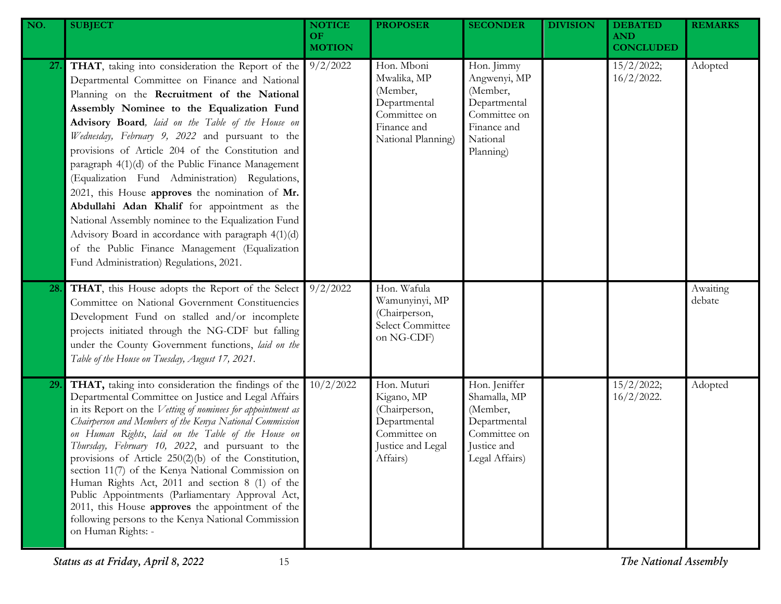| NO.        | <b>SUBJECT</b>                                                                                                                                                                                                                                                                                                                                                                                                                                                                                                                                                                                                                                                                                                                                                                     | <b>NOTICE</b><br>OF.<br><b>MOTION</b> | <b>PROPOSER</b>                                                                                             | <b>SECONDER</b>                                                                                                | <b>DIVISION</b> | <b>DEBATED</b><br><b>AND</b><br><b>CONCLUDED</b> | <b>REMARKS</b>     |
|------------|------------------------------------------------------------------------------------------------------------------------------------------------------------------------------------------------------------------------------------------------------------------------------------------------------------------------------------------------------------------------------------------------------------------------------------------------------------------------------------------------------------------------------------------------------------------------------------------------------------------------------------------------------------------------------------------------------------------------------------------------------------------------------------|---------------------------------------|-------------------------------------------------------------------------------------------------------------|----------------------------------------------------------------------------------------------------------------|-----------------|--------------------------------------------------|--------------------|
| <b>27.</b> | THAT, taking into consideration the Report of the<br>Departmental Committee on Finance and National<br>Planning on the Recruitment of the National<br>Assembly Nominee to the Equalization Fund<br>Advisory Board, laid on the Table of the House on<br>Wednesday, February 9, 2022 and pursuant to the<br>provisions of Article 204 of the Constitution and<br>paragraph 4(1)(d) of the Public Finance Management<br>(Equalization Fund Administration) Regulations,<br>2021, this House approves the nomination of Mr.<br>Abdullahi Adan Khalif for appointment as the<br>National Assembly nominee to the Equalization Fund<br>Advisory Board in accordance with paragraph 4(1)(d)<br>of the Public Finance Management (Equalization<br>Fund Administration) Regulations, 2021. | 9/2/2022                              | Hon. Mboni<br>Mwalika, MP<br>(Member,<br>Departmental<br>Committee on<br>Finance and<br>National Planning)  | Hon. Jimmy<br>Angwenyi, MP<br>(Member,<br>Departmental<br>Committee on<br>Finance and<br>National<br>Planning) |                 | 15/2/2022;<br>$16/2/2022$ .                      | Adopted            |
| 28.        | THAT, this House adopts the Report of the Select<br>Committee on National Government Constituencies<br>Development Fund on stalled and/or incomplete<br>projects initiated through the NG-CDF but falling<br>under the County Government functions, laid on the<br>Table of the House on Tuesday, August 17, 2021.                                                                                                                                                                                                                                                                                                                                                                                                                                                                 | $9/2/20$ 22                           | Hon. Wafula<br>Wamunyinyi, MP<br>(Chairperson,<br>Select Committee<br>on NG-CDF)                            |                                                                                                                |                 |                                                  | Awaiting<br>debate |
| <b>29.</b> | THAT, taking into consideration the findings of the<br>Departmental Committee on Justice and Legal Affairs<br>in its Report on the Vetting of nominees for appointment as<br>Chairperson and Members of the Kenya National Commission<br>on Human Rights, laid on the Table of the House on<br>Thursday, February 10, 2022, and pursuant to the<br>provisions of Article $250(2)(b)$ of the Constitution,<br>section 11(7) of the Kenya National Commission on<br>Human Rights Act, 2011 and section 8 (1) of the<br>Public Appointments (Parliamentary Approval Act,<br>2011, this House approves the appointment of the<br>following persons to the Kenya National Commission<br>on Human Rights: -                                                                              | 10/2/2022                             | Hon. Muturi<br>Kigano, MP<br>(Chairperson,<br>Departmental<br>Committee on<br>Justice and Legal<br>Affairs) | Hon. Jeniffer<br>Shamalla, MP<br>(Member,<br>Departmental<br>Committee on<br>Justice and<br>Legal Affairs)     |                 | 15/2/2022;<br>$16/2/2022$ .                      | Adopted            |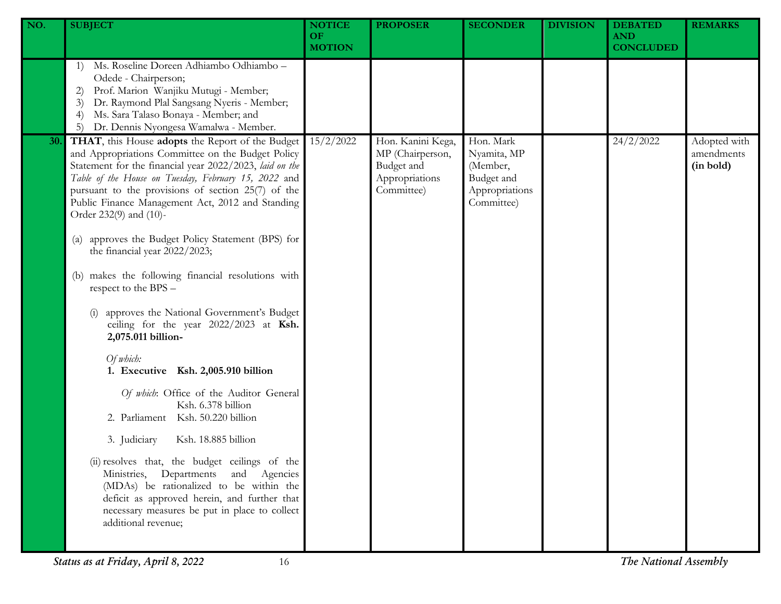| NO. | <b>SUBJECT</b>                                                                                                                                                                                                                                                                                                                                               | <b>NOTICE</b><br><b>OF</b><br><b>MOTION</b> | <b>PROPOSER</b>                                                                     | <b>SECONDER</b>                                                                    | <b>DIVISION</b> | <b>DEBATED</b><br><b>AND</b><br><b>CONCLUDED</b> | <b>REMARKS</b>                          |
|-----|--------------------------------------------------------------------------------------------------------------------------------------------------------------------------------------------------------------------------------------------------------------------------------------------------------------------------------------------------------------|---------------------------------------------|-------------------------------------------------------------------------------------|------------------------------------------------------------------------------------|-----------------|--------------------------------------------------|-----------------------------------------|
|     | Ms. Roseline Doreen Adhiambo Odhiambo -<br>1)<br>Odede - Chairperson;<br>Prof. Marion Wanjiku Mutugi - Member;<br>2)<br>Dr. Raymond Plal Sangsang Nyeris - Member;<br>3)<br>Ms. Sara Talaso Bonaya - Member; and<br>$\left(4\right)$<br>Dr. Dennis Nyongesa Wamalwa - Member.<br>5)                                                                          |                                             |                                                                                     |                                                                                    |                 |                                                  |                                         |
| 30. | THAT, this House adopts the Report of the Budget<br>and Appropriations Committee on the Budget Policy<br>Statement for the financial year 2022/2023, laid on the<br>Table of the House on Tuesday, February 15, 2022 and<br>pursuant to the provisions of section 25(7) of the<br>Public Finance Management Act, 2012 and Standing<br>Order 232(9) and (10)- | 15/2/2022                                   | Hon. Kanini Kega,<br>MP (Chairperson,<br>Budget and<br>Appropriations<br>Committee) | Hon. Mark<br>Nyamita, MP<br>(Member,<br>Budget and<br>Appropriations<br>Committee) |                 | 24/2/2022                                        | Adopted with<br>amendments<br>(in bold) |
|     | approves the Budget Policy Statement (BPS) for<br>$\left( a\right)$<br>the financial year 2022/2023;                                                                                                                                                                                                                                                         |                                             |                                                                                     |                                                                                    |                 |                                                  |                                         |
|     | makes the following financial resolutions with<br>(b)<br>respect to the BPS -                                                                                                                                                                                                                                                                                |                                             |                                                                                     |                                                                                    |                 |                                                  |                                         |
|     | approves the National Government's Budget<br>ceiling for the year 2022/2023 at Ksh.<br>2,075.011 billion-                                                                                                                                                                                                                                                    |                                             |                                                                                     |                                                                                    |                 |                                                  |                                         |
|     | Of which:<br>1. Executive Ksh. 2,005.910 billion                                                                                                                                                                                                                                                                                                             |                                             |                                                                                     |                                                                                    |                 |                                                  |                                         |
|     | Of which: Office of the Auditor General<br>Ksh. 6.378 billion<br>2. Parliament Ksh. 50.220 billion                                                                                                                                                                                                                                                           |                                             |                                                                                     |                                                                                    |                 |                                                  |                                         |
|     | 3. Judiciary<br>Ksh. 18.885 billion                                                                                                                                                                                                                                                                                                                          |                                             |                                                                                     |                                                                                    |                 |                                                  |                                         |
|     | (ii) resolves that, the budget ceilings of the<br>Ministries, Departments and Agencies<br>(MDAs) be rationalized to be within the<br>deficit as approved herein, and further that<br>necessary measures be put in place to collect<br>additional revenue;                                                                                                    |                                             |                                                                                     |                                                                                    |                 |                                                  |                                         |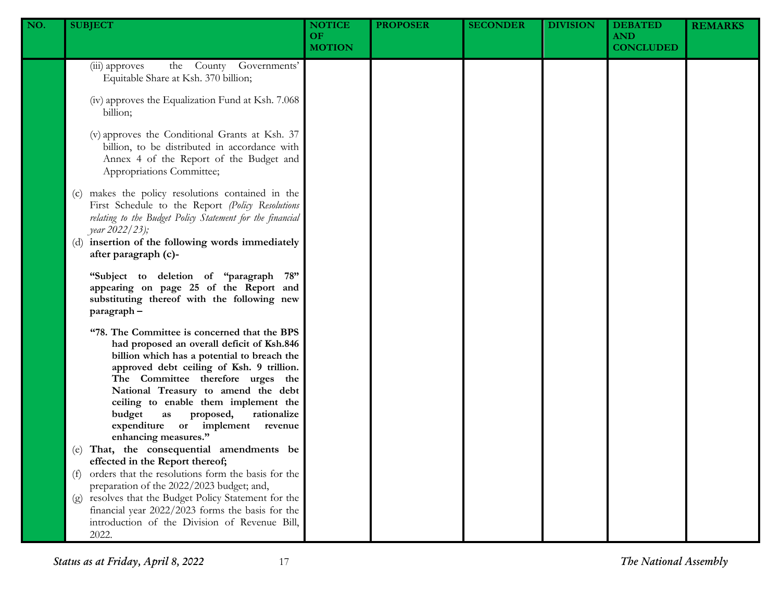| NO. | <b>SUBJECT</b>                                                                                                                                                                                                                                                                                                                                                                                                     | <b>NOTICE</b><br><b>OF</b><br><b>MOTION</b> | <b>PROPOSER</b> | <b>SECONDER</b> | <b>DIVISION</b> | <b>DEBATED</b><br><b>AND</b><br><b>CONCLUDED</b> | <b>REMARKS</b> |
|-----|--------------------------------------------------------------------------------------------------------------------------------------------------------------------------------------------------------------------------------------------------------------------------------------------------------------------------------------------------------------------------------------------------------------------|---------------------------------------------|-----------------|-----------------|-----------------|--------------------------------------------------|----------------|
|     | the County Governments'<br>(iii) approves<br>Equitable Share at Ksh. 370 billion;                                                                                                                                                                                                                                                                                                                                  |                                             |                 |                 |                 |                                                  |                |
|     | (iv) approves the Equalization Fund at Ksh. 7.068<br>billion;                                                                                                                                                                                                                                                                                                                                                      |                                             |                 |                 |                 |                                                  |                |
|     | (v) approves the Conditional Grants at Ksh. 37<br>billion, to be distributed in accordance with<br>Annex 4 of the Report of the Budget and<br>Appropriations Committee;                                                                                                                                                                                                                                            |                                             |                 |                 |                 |                                                  |                |
|     | (c) makes the policy resolutions contained in the<br>First Schedule to the Report (Policy Resolutions<br>relating to the Budget Policy Statement for the financial<br>year 2022/23);<br>(d) insertion of the following words immediately<br>after paragraph (c)-                                                                                                                                                   |                                             |                 |                 |                 |                                                  |                |
|     | "Subject to deletion of "paragraph 78"<br>appearing on page 25 of the Report and<br>substituting thereof with the following new<br>paragraph-                                                                                                                                                                                                                                                                      |                                             |                 |                 |                 |                                                  |                |
|     | "78. The Committee is concerned that the BPS<br>had proposed an overall deficit of Ksh.846<br>billion which has a potential to breach the<br>approved debt ceiling of Ksh. 9 trillion.<br>The Committee therefore urges the<br>National Treasury to amend the debt<br>ceiling to enable them implement the<br>budget<br>rationalize<br>as<br>proposed,<br>expenditure or implement revenue<br>enhancing measures." |                                             |                 |                 |                 |                                                  |                |
|     | (e) That, the consequential amendments be<br>effected in the Report thereof;<br>orders that the resolutions form the basis for the                                                                                                                                                                                                                                                                                 |                                             |                 |                 |                 |                                                  |                |
|     | (f)<br>preparation of the 2022/2023 budget; and,                                                                                                                                                                                                                                                                                                                                                                   |                                             |                 |                 |                 |                                                  |                |
|     | (g) resolves that the Budget Policy Statement for the<br>financial year 2022/2023 forms the basis for the<br>introduction of the Division of Revenue Bill,<br>2022.                                                                                                                                                                                                                                                |                                             |                 |                 |                 |                                                  |                |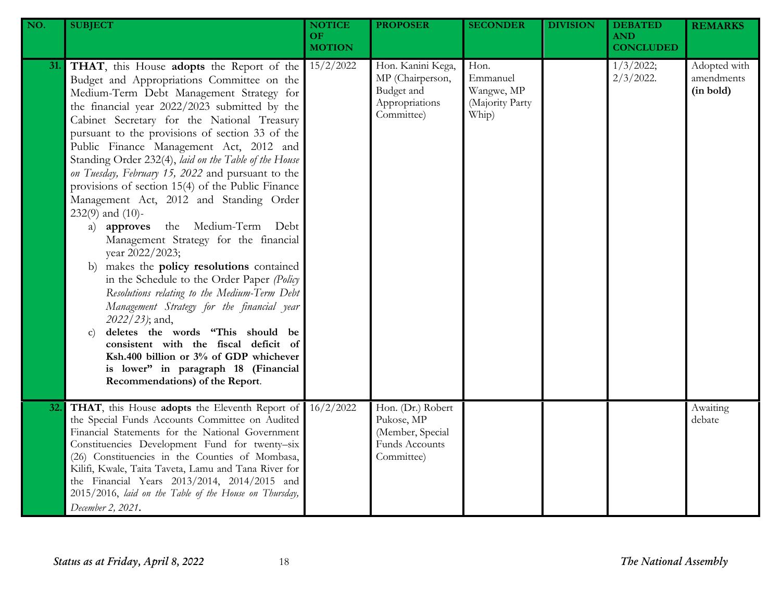| NO. | <b>SUBJECT</b>                                                                                                                                                                                                                                                                                                                                                                                                                                                                                                                                                                                                                                                                                                                                                                                                                                                                                                                                                                                                                                                                                               | <b>NOTICE</b><br><b>OF</b><br><b>MOTION</b> | <b>PROPOSER</b>                                                                            | <b>SECONDER</b>                                            | <b>DIVISION</b> | <b>DEBATED</b><br><b>AND</b><br><b>CONCLUDED</b> | <b>REMARKS</b>                          |
|-----|--------------------------------------------------------------------------------------------------------------------------------------------------------------------------------------------------------------------------------------------------------------------------------------------------------------------------------------------------------------------------------------------------------------------------------------------------------------------------------------------------------------------------------------------------------------------------------------------------------------------------------------------------------------------------------------------------------------------------------------------------------------------------------------------------------------------------------------------------------------------------------------------------------------------------------------------------------------------------------------------------------------------------------------------------------------------------------------------------------------|---------------------------------------------|--------------------------------------------------------------------------------------------|------------------------------------------------------------|-----------------|--------------------------------------------------|-----------------------------------------|
| 31. | THAT, this House adopts the Report of the<br>Budget and Appropriations Committee on the<br>Medium-Term Debt Management Strategy for<br>the financial year 2022/2023 submitted by the<br>Cabinet Secretary for the National Treasury<br>pursuant to the provisions of section 33 of the<br>Public Finance Management Act, 2012 and<br>Standing Order 232(4), laid on the Table of the House<br>on Tuesday, February 15, 2022 and pursuant to the<br>provisions of section 15(4) of the Public Finance<br>Management Act, 2012 and Standing Order<br>$232(9)$ and $(10)$ -<br>the Medium-Term Debt<br>a) approves<br>Management Strategy for the financial<br>year 2022/2023;<br>makes the policy resolutions contained<br>b)<br>in the Schedule to the Order Paper (Policy<br>Resolutions relating to the Medium-Term Debt<br>Management Strategy for the financial year<br>2022/23); and,<br>deletes the words "This should be<br>$\mathbf{C}$<br>consistent with the fiscal deficit of<br>Ksh.400 billion or 3% of GDP whichever<br>is lower" in paragraph 18 (Financial<br>Recommendations) of the Report. | 15/2/2022                                   | Hon. Kanini Kega,<br>MP (Chairperson,<br>Budget and<br>Appropriations<br>Committee)        | Hon.<br>Emmanuel<br>Wangwe, MP<br>(Majority Party<br>Whip) |                 | 1/3/2022;<br>$2/3/2022$ .                        | Adopted with<br>amendments<br>(in bold) |
| 32. | THAT, this House adopts the Eleventh Report of<br>the Special Funds Accounts Committee on Audited<br>Financial Statements for the National Government<br>Constituencies Development Fund for twenty-six<br>(26) Constituencies in the Counties of Mombasa,<br>Kilifi, Kwale, Taita Taveta, Lamu and Tana River for<br>the Financial Years 2013/2014, 2014/2015 and<br>2015/2016, laid on the Table of the House on Thursday,<br>December 2, 2021.                                                                                                                                                                                                                                                                                                                                                                                                                                                                                                                                                                                                                                                            | 16/2/2022                                   | Hon. (Dr.) Robert<br>Pukose, MP<br>(Member, Special<br><b>Funds Accounts</b><br>Committee) |                                                            |                 |                                                  | Awaiting<br>debate                      |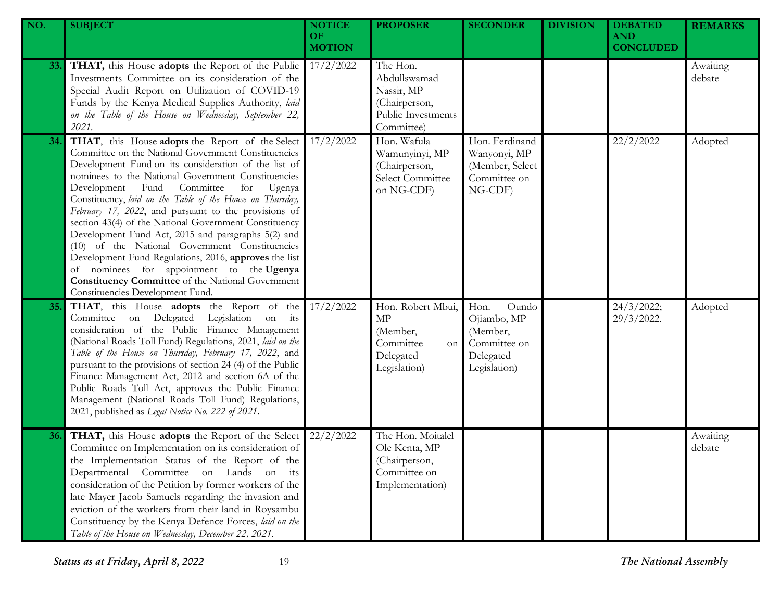| NO.        | <b>SUBJECT</b>                                                                                                                                                                                                                                                                                                                                                                                                                                                                                                                                                                                                                                                                                                                                                   | <b>NOTICE</b><br><b>OF</b><br><b>MOTION</b> | <b>PROPOSER</b>                                                                             | <b>SECONDER</b>                                                                       | <b>DIVISION</b> | <b>DEBATED</b><br><b>AND</b><br><b>CONCLUDED</b> | <b>REMARKS</b>     |
|------------|------------------------------------------------------------------------------------------------------------------------------------------------------------------------------------------------------------------------------------------------------------------------------------------------------------------------------------------------------------------------------------------------------------------------------------------------------------------------------------------------------------------------------------------------------------------------------------------------------------------------------------------------------------------------------------------------------------------------------------------------------------------|---------------------------------------------|---------------------------------------------------------------------------------------------|---------------------------------------------------------------------------------------|-----------------|--------------------------------------------------|--------------------|
| <b>33.</b> | THAT, this House adopts the Report of the Public<br>Investments Committee on its consideration of the<br>Special Audit Report on Utilization of COVID-19<br>Funds by the Kenya Medical Supplies Authority, laid<br>on the Table of the House on Wednesday, September 22,<br>2021.                                                                                                                                                                                                                                                                                                                                                                                                                                                                                | 17/2/2022                                   | The Hon.<br>Abdullswamad<br>Nassir, MP<br>(Chairperson,<br>Public Investments<br>Committee) |                                                                                       |                 |                                                  | Awaiting<br>debate |
| 34.        | THAT, this House adopts the Report of the Select<br>Committee on the National Government Constituencies<br>Development Fund on its consideration of the list of<br>nominees to the National Government Constituencies<br>Development Fund Committee<br>for<br>Ugenya<br>Constituency, laid on the Table of the House on Thursday,<br>February 17, 2022, and pursuant to the provisions of<br>section 43(4) of the National Government Constituency<br>Development Fund Act, 2015 and paragraphs 5(2) and<br>(10) of the National Government Constituencies<br>Development Fund Regulations, 2016, approves the list<br>of nominees for appointment to the Ugenya<br><b>Constituency Committee</b> of the National Government<br>Constituencies Development Fund. | 17/2/2022                                   | Hon. Wafula<br>Wamunyinyi, MP<br>(Chairperson,<br>Select Committee<br>on NG-CDF)            | Hon. Ferdinand<br>Wanyonyi, MP<br>(Member, Select<br>Committee on<br>NG-CDF)          |                 | 22/2/2022                                        | Adopted            |
| 35.        | THAT, this House adopts the Report of the<br>Committee on Delegated Legislation on its<br>consideration of the Public Finance Management<br>(National Roads Toll Fund) Regulations, 2021, laid on the<br>Table of the House on Thursday, February 17, 2022, and<br>pursuant to the provisions of section 24 (4) of the Public<br>Finance Management Act, 2012 and section 6A of the<br>Public Roads Toll Act, approves the Public Finance<br>Management (National Roads Toll Fund) Regulations,<br>2021, published as Legal Notice No. 222 of 2021.                                                                                                                                                                                                              | 17/2/2022                                   | Hon. Robert Mbui,<br>MP<br>(Member,<br>Committee<br>on<br>Delegated<br>Legislation)         | Hon.<br>Oundo<br>Ojiambo, MP<br>(Member,<br>Committee on<br>Delegated<br>Legislation) |                 | 24/3/2022;<br>29/3/2022.                         | Adopted            |
| 36.        | THAT, this House adopts the Report of the Select<br>Committee on Implementation on its consideration of<br>the Implementation Status of the Report of the<br>Departmental Committee on Lands on its<br>consideration of the Petition by former workers of the<br>late Mayer Jacob Samuels regarding the invasion and<br>eviction of the workers from their land in Roysambu<br>Constituency by the Kenya Defence Forces, laid on the<br>Table of the House on Wednesday, December 22, 2021.                                                                                                                                                                                                                                                                      | 22/2/2022                                   | The Hon. Moitalel<br>Ole Kenta, MP<br>(Chairperson,<br>Committee on<br>Implementation)      |                                                                                       |                 |                                                  | Awaiting<br>debate |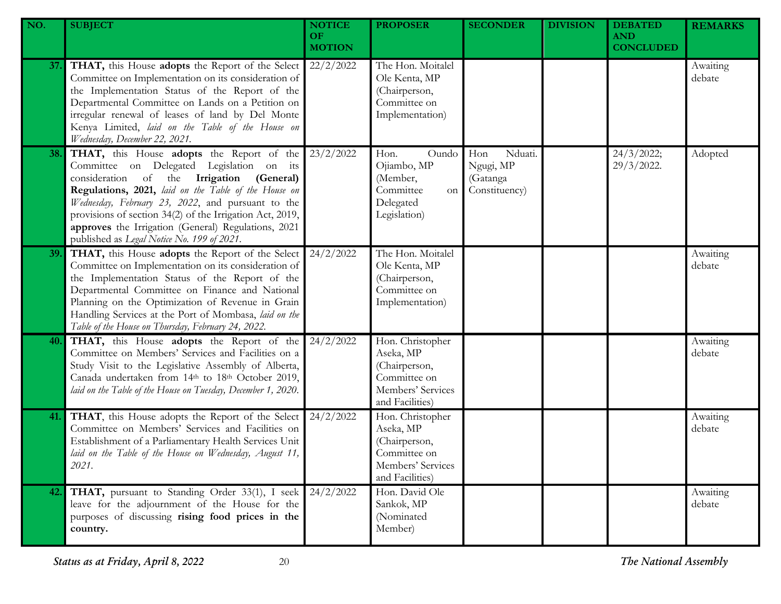| NO. | <b>SUBJECT</b>                                                                                                                                                                                                                                                                                                                                                                                                    | <b>NOTICE</b><br>OF.<br><b>MOTION</b> | <b>PROPOSER</b>                                                                                        | <b>SECONDER</b>                                          | <b>DIVISION</b> | <b>DEBATED</b><br><b>AND</b><br><b>CONCLUDED</b> | <b>REMARKS</b>     |
|-----|-------------------------------------------------------------------------------------------------------------------------------------------------------------------------------------------------------------------------------------------------------------------------------------------------------------------------------------------------------------------------------------------------------------------|---------------------------------------|--------------------------------------------------------------------------------------------------------|----------------------------------------------------------|-----------------|--------------------------------------------------|--------------------|
| 37. | THAT, this House adopts the Report of the Select<br>Committee on Implementation on its consideration of<br>the Implementation Status of the Report of the<br>Departmental Committee on Lands on a Petition on<br>irregular renewal of leases of land by Del Monte<br>Kenya Limited, laid on the Table of the House on<br>Wednesday, December 22, 2021.                                                            | 22/2/2022                             | The Hon. Moitalel<br>Ole Kenta, MP<br>(Chairperson,<br>Committee on<br>Implementation)                 |                                                          |                 |                                                  | Awaiting<br>debate |
| 38. | THAT, this House adopts the Report of the<br>Committee on Delegated Legislation on its<br>consideration of the Irrigation (General)<br>Regulations, 2021, laid on the Table of the House on<br>Wednesday, February 23, 2022, and pursuant to the<br>provisions of section 34(2) of the Irrigation Act, 2019,<br>approves the Irrigation (General) Regulations, 2021<br>published as Legal Notice No. 199 of 2021. | 23/2/2022                             | Hon.<br>Oundo<br>Ojiambo, MP<br>(Member,<br>Committee<br>on<br>Delegated<br>Legislation)               | Nduati.<br>Hon<br>Ngugi, MP<br>(Gatanga<br>Constituency) |                 | 24/3/2022;<br>29/3/2022.                         | Adopted            |
| 39. | THAT, this House adopts the Report of the Select<br>Committee on Implementation on its consideration of<br>the Implementation Status of the Report of the<br>Departmental Committee on Finance and National<br>Planning on the Optimization of Revenue in Grain<br>Handling Services at the Port of Mombasa, laid on the<br>Table of the House on Thursday, February 24, 2022.                                    | 24/2/2022                             | The Hon. Moitalel<br>Ole Kenta, MP<br>(Chairperson,<br>Committee on<br>Implementation)                 |                                                          |                 |                                                  | Awaiting<br>debate |
| 40. | THAT, this House adopts the Report of the<br>Committee on Members' Services and Facilities on a<br>Study Visit to the Legislative Assembly of Alberta,<br>Canada undertaken from 14th to 18th October 2019,<br>laid on the Table of the House on Tuesday, December 1, 2020.                                                                                                                                       | 24/2/2022                             | Hon. Christopher<br>Aseka, MP<br>(Chairperson,<br>Committee on<br>Members' Services<br>and Facilities) |                                                          |                 |                                                  | Awaiting<br>debate |
| 41. | THAT, this House adopts the Report of the Select<br>Committee on Members' Services and Facilities on<br>Establishment of a Parliamentary Health Services Unit<br>laid on the Table of the House on Wednesday, August 11,<br>2021.                                                                                                                                                                                 | 24/2/2022                             | Hon. Christopher<br>Aseka, MP<br>(Chairperson,<br>Committee on<br>Members' Services<br>and Facilities) |                                                          |                 |                                                  | Awaiting<br>debate |
| 42. | THAT, pursuant to Standing Order 33(1), I seek<br>leave for the adjournment of the House for the<br>purposes of discussing rising food prices in the<br>country.                                                                                                                                                                                                                                                  | 24/2/2022                             | Hon. David Ole<br>Sankok, MP<br>(Nominated<br>Member)                                                  |                                                          |                 |                                                  | Awaiting<br>debate |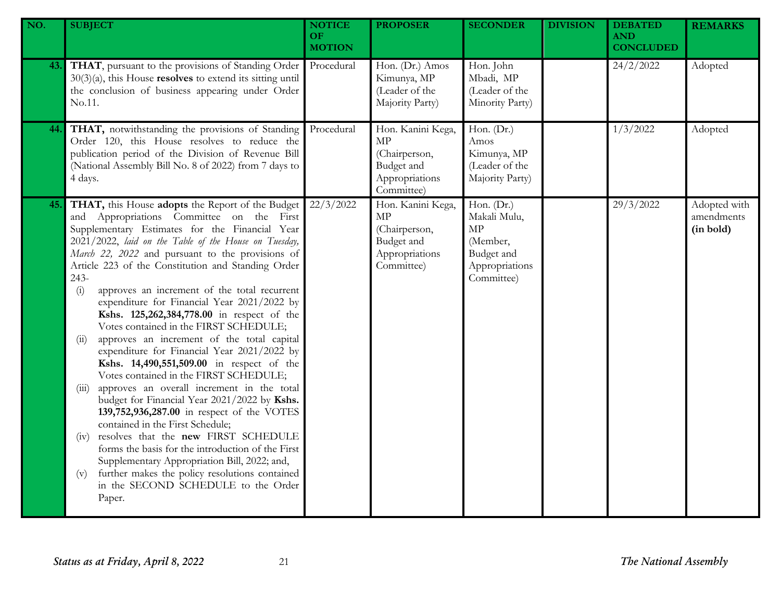| NO. | <b>SUBJECT</b>                                                                                                                                                                                                                                                                                                                                                                                                                                                                                                                                                                                                                                                                                                                                                                                                                                                                                                                                                                                                                                                                                                                                                               | <b>NOTICE</b><br><b>OF</b><br><b>MOTION</b> | <b>PROPOSER</b>                                                                               | <b>SECONDER</b>                                                                            | <b>DIVISION</b> | <b>DEBATED</b><br><b>AND</b><br><b>CONCLUDED</b> | <b>REMARKS</b>                          |
|-----|------------------------------------------------------------------------------------------------------------------------------------------------------------------------------------------------------------------------------------------------------------------------------------------------------------------------------------------------------------------------------------------------------------------------------------------------------------------------------------------------------------------------------------------------------------------------------------------------------------------------------------------------------------------------------------------------------------------------------------------------------------------------------------------------------------------------------------------------------------------------------------------------------------------------------------------------------------------------------------------------------------------------------------------------------------------------------------------------------------------------------------------------------------------------------|---------------------------------------------|-----------------------------------------------------------------------------------------------|--------------------------------------------------------------------------------------------|-----------------|--------------------------------------------------|-----------------------------------------|
| 43. | THAT, pursuant to the provisions of Standing Order<br>$30(3)(a)$ , this House <b>resolves</b> to extend its sitting until<br>the conclusion of business appearing under Order<br>No.11.                                                                                                                                                                                                                                                                                                                                                                                                                                                                                                                                                                                                                                                                                                                                                                                                                                                                                                                                                                                      | Procedural                                  | Hon. (Dr.) Amos<br>Kimunya, MP<br>(Leader of the<br>Majority Party)                           | Hon. John<br>Mbadi, MP<br>(Leader of the<br>Minority Party)                                |                 | 24/2/2022                                        | Adopted                                 |
| 44. | THAT, notwithstanding the provisions of Standing<br>Order 120, this House resolves to reduce the<br>publication period of the Division of Revenue Bill<br>(National Assembly Bill No. 8 of 2022) from 7 days to<br>4 days.                                                                                                                                                                                                                                                                                                                                                                                                                                                                                                                                                                                                                                                                                                                                                                                                                                                                                                                                                   | Procedural                                  | Hon. Kanini Kega,<br><b>MP</b><br>(Chairperson,<br>Budget and<br>Appropriations<br>Committee) | Hon. $(Dr.)$<br>Amos<br>Kimunya, MP<br>(Leader of the<br>Majority Party)                   |                 | 1/3/2022                                         | Adopted                                 |
| 45. | THAT, this House adopts the Report of the Budget<br>and Appropriations Committee on the First<br>Supplementary Estimates for the Financial Year<br>2021/2022, laid on the Table of the House on Tuesday,<br>March 22, 2022 and pursuant to the provisions of<br>Article 223 of the Constitution and Standing Order<br>243-<br>approves an increment of the total recurrent<br>(i)<br>expenditure for Financial Year 2021/2022 by<br>Kshs. 125,262,384,778.00 in respect of the<br>Votes contained in the FIRST SCHEDULE;<br>approves an increment of the total capital<br>(ii)<br>expenditure for Financial Year 2021/2022 by<br>Kshs. 14,490,551,509.00 in respect of the<br>Votes contained in the FIRST SCHEDULE;<br>approves an overall increment in the total<br>(iii)<br>budget for Financial Year 2021/2022 by Kshs.<br>139,752,936,287.00 in respect of the VOTES<br>contained in the First Schedule;<br>resolves that the new FIRST SCHEDULE<br>(1V)<br>forms the basis for the introduction of the First<br>Supplementary Appropriation Bill, 2022; and,<br>further makes the policy resolutions contained<br>(v)<br>in the SECOND SCHEDULE to the Order<br>Paper. | 22/3/2022                                   | Hon. Kanini Kega,<br>MP<br>(Chairperson,<br>Budget and<br>Appropriations<br>Committee)        | Hon. (Dr.)<br>Makali Mulu,<br>MP<br>(Member,<br>Budget and<br>Appropriations<br>Committee) |                 | 29/3/2022                                        | Adopted with<br>amendments<br>(in bold) |